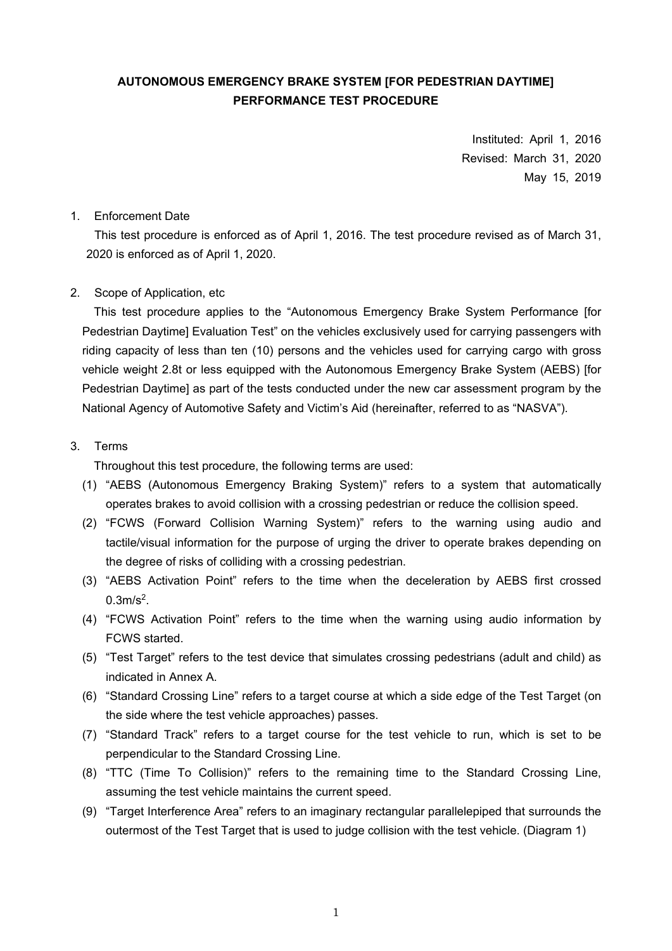# **AUTONOMOUS EMERGENCY BRAKE SYSTEM [FOR PEDESTRIAN DAYTIME] PERFORMANCE TEST PROCEDURE**

Instituted: April 1, 2016 Revised: March 31, 2020 May 15, 2019

## 1. Enforcement Date

This test procedure is enforced as of April 1, 2016. The test procedure revised as of March 31, 2020 is enforced as of April 1, 2020.

## 2. Scope of Application, etc

This test procedure applies to the "Autonomous Emergency Brake System Performance [for Pedestrian Daytime] Evaluation Test" on the vehicles exclusively used for carrying passengers with riding capacity of less than ten (10) persons and the vehicles used for carrying cargo with gross vehicle weight 2.8t or less equipped with the Autonomous Emergency Brake System (AEBS) [for Pedestrian Daytime] as part of the tests conducted under the new car assessment program by the National Agency of Automotive Safety and Victim's Aid (hereinafter, referred to as "NASVA").

## 3. Terms

Throughout this test procedure, the following terms are used:

- (1) "AEBS (Autonomous Emergency Braking System)" refers to a system that automatically operates brakes to avoid collision with a crossing pedestrian or reduce the collision speed.
- (2) "FCWS (Forward Collision Warning System)" refers to the warning using audio and tactile/visual information for the purpose of urging the driver to operate brakes depending on the degree of risks of colliding with a crossing pedestrian.
- (3) "AEBS Activation Point" refers to the time when the deceleration by AEBS first crossed  $0.3m/s<sup>2</sup>$ .
- (4) "FCWS Activation Point" refers to the time when the warning using audio information by FCWS started.
- (5) "Test Target" refers to the test device that simulates crossing pedestrians (adult and child) as indicated in Annex A.
- (6) "Standard Crossing Line" refers to a target course at which a side edge of the Test Target (on the side where the test vehicle approaches) passes.
- (7) "Standard Track" refers to a target course for the test vehicle to run, which is set to be perpendicular to the Standard Crossing Line.
- (8) "TTC (Time To Collision)" refers to the remaining time to the Standard Crossing Line, assuming the test vehicle maintains the current speed.
- (9) "Target Interference Area" refers to an imaginary rectangular parallelepiped that surrounds the outermost of the Test Target that is used to judge collision with the test vehicle. (Diagram 1)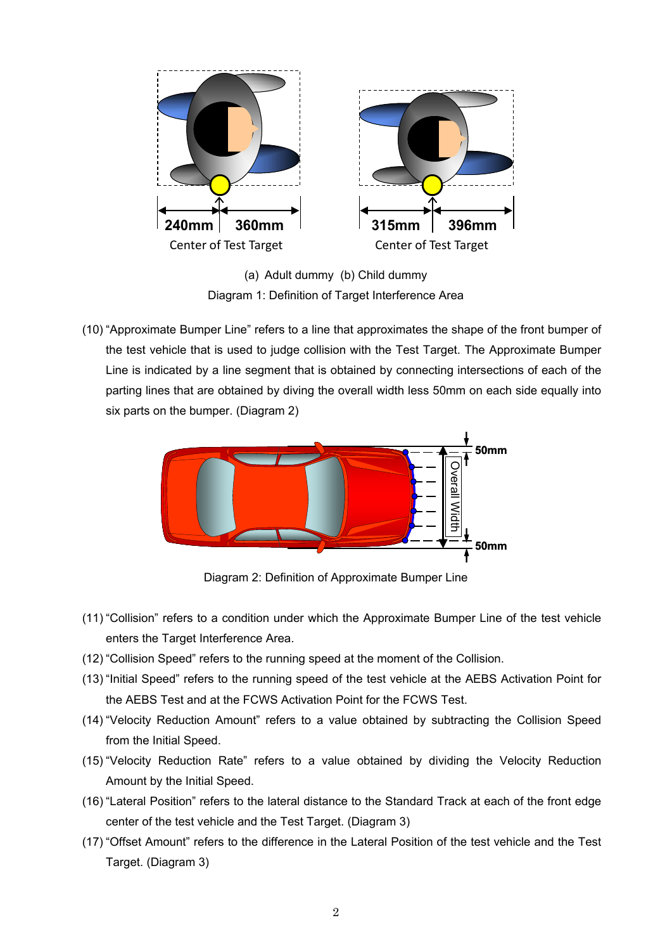

(a) Adult dummy (b) Child dummy Diagram 1: Definition of Target Interference Area

(10) "Approximate Bumper Line" refers to a line that approximates the shape of the front bumper of the test vehicle that is used to judge collision with the Test Target. The Approximate Bumper Line is indicated by a line segment that is obtained by connecting intersections of each of the parting lines that are obtained by diving the overall width less 50mm on each side equally into six parts on the bumper. (Diagram 2)



Diagram 2: Definition of Approximate Bumper Line

- (11) "Collision" refers to a condition under which the Approximate Bumper Line of the test vehicle enters the Target Interference Area.
- (12) "Collision Speed" refers to the running speed at the moment of the Collision.
- (13) "Initial Speed" refers to the running speed of the test vehicle at the AEBS Activation Point for the AEBS Test and at the FCWS Activation Point for the FCWS Test.
- (14) "Velocity Reduction Amount" refers to a value obtained by subtracting the Collision Speed from the Initial Speed.
- (15) "Velocity Reduction Rate" refers to a value obtained by dividing the Velocity Reduction Amount by the Initial Speed.
- (16) "Lateral Position" refers to the lateral distance to the Standard Track at each of the front edge center of the test vehicle and the Test Target. (Diagram 3)
- (17) "Offset Amount" refers to the difference in the Lateral Position of the test vehicle and the Test Target. (Diagram 3)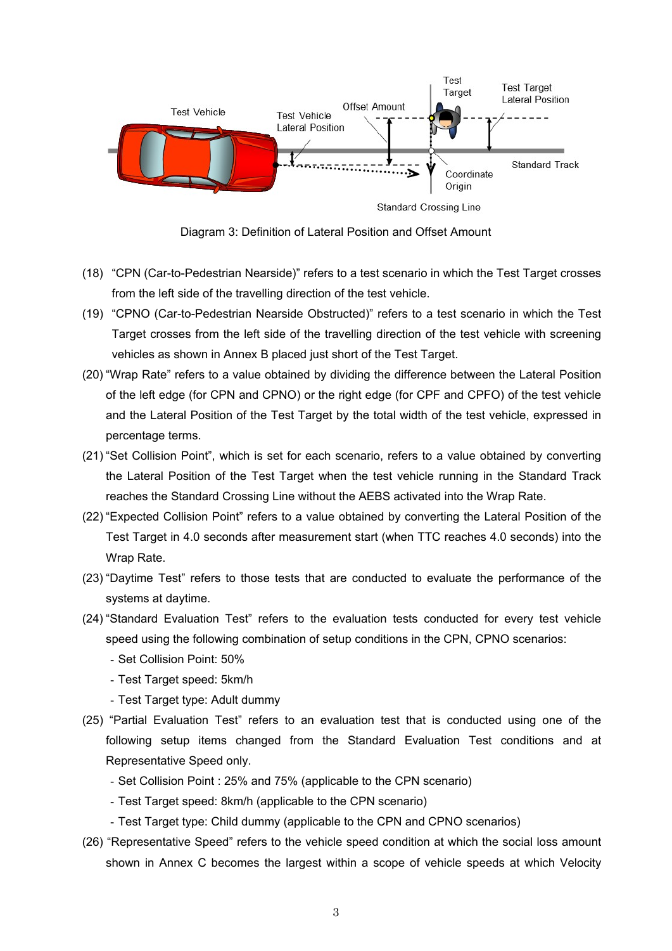

Diagram 3: Definition of Lateral Position and Offset Amount

- (18) "CPN (Car-to-Pedestrian Nearside)" refers to a test scenario in which the Test Target crosses from the left side of the travelling direction of the test vehicle.
- (19) "CPNO (Car-to-Pedestrian Nearside Obstructed)" refers to a test scenario in which the Test Target crosses from the left side of the travelling direction of the test vehicle with screening vehicles as shown in Annex B placed just short of the Test Target.
- (20) "Wrap Rate" refers to a value obtained by dividing the difference between the Lateral Position of the left edge (for CPN and CPNO) or the right edge (for CPF and CPFO) of the test vehicle and the Lateral Position of the Test Target by the total width of the test vehicle, expressed in percentage terms.
- (21) "Set Collision Point", which is set for each scenario, refers to a value obtained by converting the Lateral Position of the Test Target when the test vehicle running in the Standard Track reaches the Standard Crossing Line without the AEBS activated into the Wrap Rate.
- (22) "Expected Collision Point" refers to a value obtained by converting the Lateral Position of the Test Target in 4.0 seconds after measurement start (when TTC reaches 4.0 seconds) into the Wrap Rate.
- (23) "Daytime Test" refers to those tests that are conducted to evaluate the performance of the systems at daytime.
- (24) "Standard Evaluation Test" refers to the evaluation tests conducted for every test vehicle speed using the following combination of setup conditions in the CPN, CPNO scenarios:
	- Set Collision Point: 50%
	- Test Target speed: 5km/h
	- Test Target type: Adult dummy
- (25) "Partial Evaluation Test" refers to an evaluation test that is conducted using one of the following setup items changed from the Standard Evaluation Test conditions and at Representative Speed only.
	- Set Collision Point : 25% and 75% (applicable to the CPN scenario)
	- Test Target speed: 8km/h (applicable to the CPN scenario)
	- Test Target type: Child dummy (applicable to the CPN and CPNO scenarios)
- (26) "Representative Speed" refers to the vehicle speed condition at which the social loss amount shown in Annex C becomes the largest within a scope of vehicle speeds at which Velocity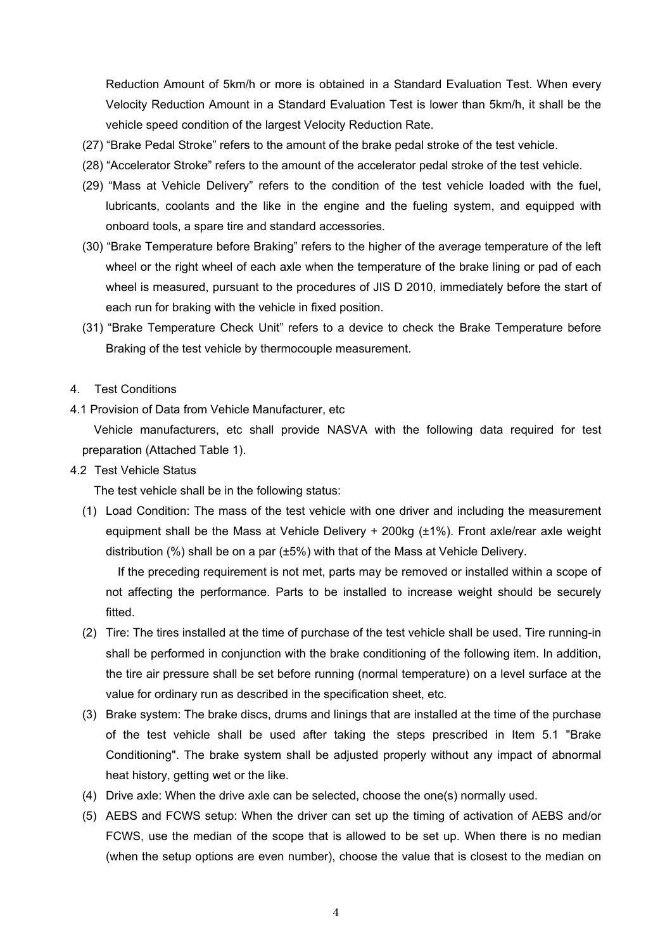Reduction Amount of 5km/h or more is obtained in a Standard Evaluation Test. When every Velocity Reduction Amount in a Standard Evaluation Test is lower than 5km/h, it shall be the vehicle speed condition of the largest Velocity Reduction Rate.

- (27) "Brake Pedal Stroke" refers to the amount of the brake pedal stroke of the test vehicle.
- (28) "Accelerator Stroke" refers to the amount of the accelerator pedal stroke of the test vehicle.
- (29) "Mass at Vehicle Delivery" refers to the condition of the test vehicle loaded with the fuel, lubricants, coolants and the like in the engine and the fueling system, and equipped with onboard tools, a spare tire and standard accessories.
- (30) "Brake Temperature before Braking" refers to the higher of the average temperature of the left wheel or the right wheel of each axle when the temperature of the brake lining or pad of each wheel is measured, pursuant to the procedures of JIS D 2010, immediately before the start of each run for braking with the vehicle in fixed position.
- (31) "Brake Temperature Check Unit" refers to a device to check the Brake Temperature before Braking of the test vehicle by thermocouple measurement.
- 4. Test Conditions
- 4.1 Provision of Data from Vehicle Manufacturer, etc

Vehicle manufacturers, etc shall provide NASVA with the following data required for test preparation (Attached Table 1).

4.2 Test Vehicle Status

The test vehicle shall be in the following status:

(1) Load Condition: The mass of the test vehicle with one driver and including the measurement equipment shall be the Mass at Vehicle Delivery + 200kg (±1%). Front axle/rear axle weight distribution (%) shall be on a par (±5%) with that of the Mass at Vehicle Delivery.

 If the preceding requirement is not met, parts may be removed or installed within a scope of not affecting the performance. Parts to be installed to increase weight should be securely fitted.

- (2) Tire: The tires installed at the time of purchase of the test vehicle shall be used. Tire running-in shall be performed in conjunction with the brake conditioning of the following item. In addition, the tire air pressure shall be set before running (normal temperature) on a level surface at the value for ordinary run as described in the specification sheet, etc.
- (3) Brake system: The brake discs, drums and linings that are installed at the time of the purchase of the test vehicle shall be used after taking the steps prescribed in Item 5.1 "Brake Conditioning". The brake system shall be adjusted properly without any impact of abnormal heat history, getting wet or the like.
- (4) Drive axle: When the drive axle can be selected, choose the one(s) normally used.
- (5) AEBS and FCWS setup: When the driver can set up the timing of activation of AEBS and/or FCWS, use the median of the scope that is allowed to be set up. When there is no median (when the setup options are even number), choose the value that is closest to the median on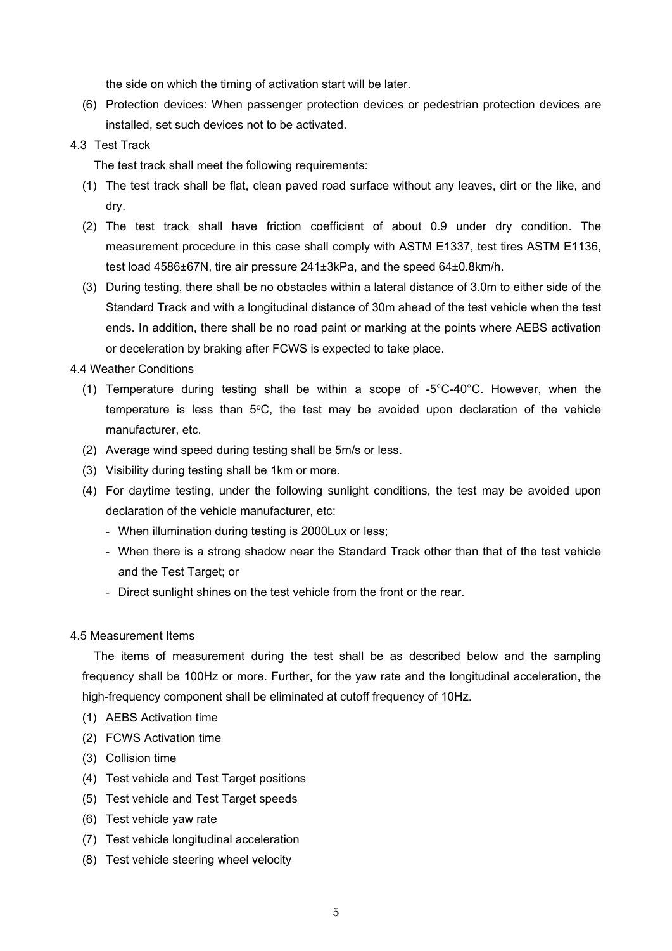the side on which the timing of activation start will be later.

- (6) Protection devices: When passenger protection devices or pedestrian protection devices are installed, set such devices not to be activated.
- 4.3 Test Track

The test track shall meet the following requirements:

- (1) The test track shall be flat, clean paved road surface without any leaves, dirt or the like, and dry.
- (2) The test track shall have friction coefficient of about 0.9 under dry condition. The measurement procedure in this case shall comply with ASTM E1337, test tires ASTM E1136, test load 4586±67N, tire air pressure 241±3kPa, and the speed 64±0.8km/h.
- (3) During testing, there shall be no obstacles within a lateral distance of 3.0m to either side of the Standard Track and with a longitudinal distance of 30m ahead of the test vehicle when the test ends. In addition, there shall be no road paint or marking at the points where AEBS activation or deceleration by braking after FCWS is expected to take place.

## 4.4 Weather Conditions

- (1) Temperature during testing shall be within a scope of -5°C-40°C. However, when the temperature is less than  $5^{\circ}$ C, the test may be avoided upon declaration of the vehicle manufacturer, etc.
- (2) Average wind speed during testing shall be 5m/s or less.
- (3) Visibility during testing shall be 1km or more.
- (4) For daytime testing, under the following sunlight conditions, the test may be avoided upon declaration of the vehicle manufacturer, etc:
	- When illumination during testing is 2000Lux or less;
	- When there is a strong shadow near the Standard Track other than that of the test vehicle and the Test Target; or
	- Direct sunlight shines on the test vehicle from the front or the rear.

## 4.5 Measurement Items

The items of measurement during the test shall be as described below and the sampling frequency shall be 100Hz or more. Further, for the yaw rate and the longitudinal acceleration, the high-frequency component shall be eliminated at cutoff frequency of 10Hz.

- (1) AEBS Activation time
- (2) FCWS Activation time
- (3) Collision time
- (4) Test vehicle and Test Target positions
- (5) Test vehicle and Test Target speeds
- (6) Test vehicle yaw rate
- (7) Test vehicle longitudinal acceleration
- (8) Test vehicle steering wheel velocity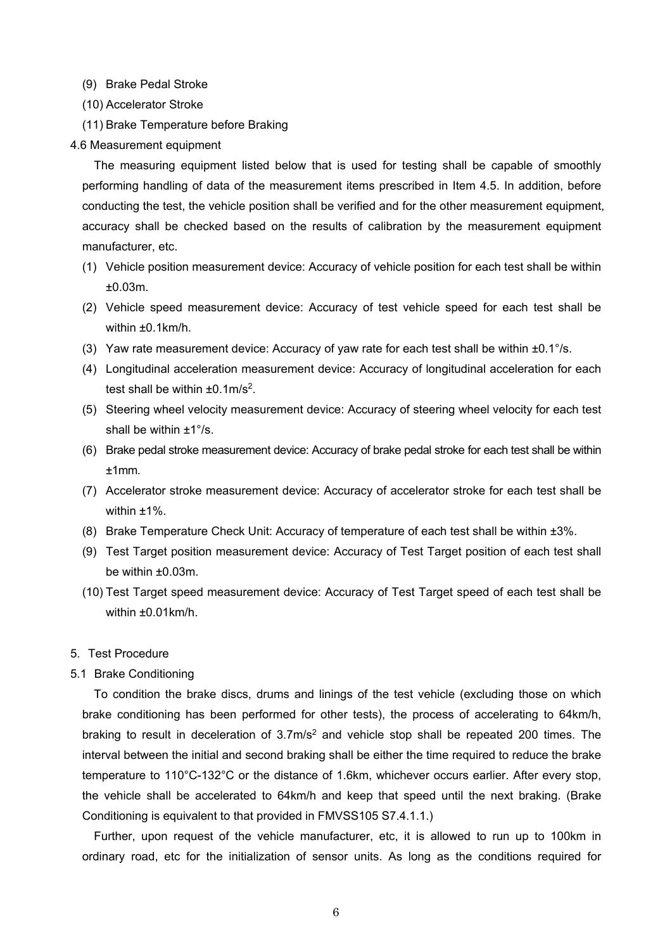- (9) Brake Pedal Stroke
- (10) Accelerator Stroke
- (11) Brake Temperature before Braking

#### 4.6 Measurement equipment

The measuring equipment listed below that is used for testing shall be capable of smoothly performing handling of data of the measurement items prescribed in Item 4.5. In addition, before conducting the test, the vehicle position shall be verified and for the other measurement equipment, accuracy shall be checked based on the results of calibration by the measurement equipment manufacturer, etc.

- (1) Vehicle position measurement device: Accuracy of vehicle position for each test shall be within ±0.03m.
- (2) Vehicle speed measurement device: Accuracy of test vehicle speed for each test shall be within ±0.1km/h.
- (3) Yaw rate measurement device: Accuracy of yaw rate for each test shall be within  $\pm 0.1^{\circ}/s$ .
- (4) Longitudinal acceleration measurement device: Accuracy of longitudinal acceleration for each test shall be within  $\pm 0.1$ m/s<sup>2</sup>.
- (5) Steering wheel velocity measurement device: Accuracy of steering wheel velocity for each test shall be within ±1°/s.
- (6) Brake pedal stroke measurement device: Accuracy of brake pedal stroke for each test shall be within ±1mm.
- (7) Accelerator stroke measurement device: Accuracy of accelerator stroke for each test shall be within ±1%.
- (8) Brake Temperature Check Unit: Accuracy of temperature of each test shall be within ±3%.
- (9) Test Target position measurement device: Accuracy of Test Target position of each test shall be within ±0.03m.
- (10) Test Target speed measurement device: Accuracy of Test Target speed of each test shall be within ±0.01km/h.

#### 5. Test Procedure

### 5.1 Brake Conditioning

To condition the brake discs, drums and linings of the test vehicle (excluding those on which brake conditioning has been performed for other tests), the process of accelerating to 64km/h, braking to result in deceleration of  $3.7 \text{m/s}^2$  and vehicle stop shall be repeated 200 times. The interval between the initial and second braking shall be either the time required to reduce the brake temperature to 110°C-132°C or the distance of 1.6km, whichever occurs earlier. After every stop, the vehicle shall be accelerated to 64km/h and keep that speed until the next braking. (Brake Conditioning is equivalent to that provided in FMVSS105 S7.4.1.1.)

Further, upon request of the vehicle manufacturer, etc, it is allowed to run up to 100km in ordinary road, etc for the initialization of sensor units. As long as the conditions required for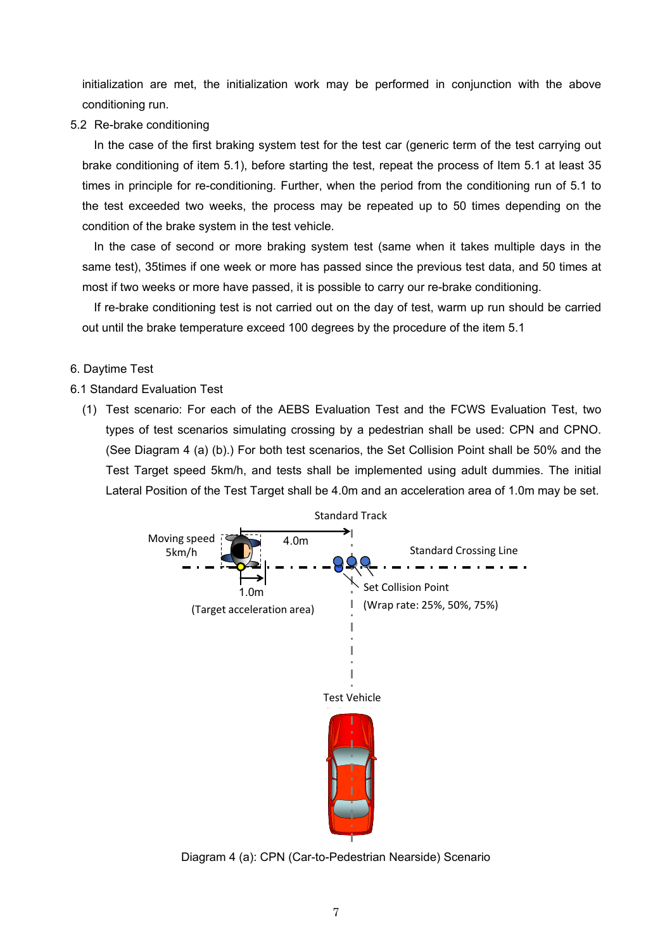initialization are met, the initialization work may be performed in conjunction with the above conditioning run.

5.2 Re-brake conditioning

In the case of the first braking system test for the test car (generic term of the test carrying out brake conditioning of item 5.1), before starting the test, repeat the process of Item 5.1 at least 35 times in principle for re-conditioning. Further, when the period from the conditioning run of 5.1 to the test exceeded two weeks, the process may be repeated up to 50 times depending on the condition of the brake system in the test vehicle.

In the case of second or more braking system test (same when it takes multiple days in the same test), 35times if one week or more has passed since the previous test data, and 50 times at most if two weeks or more have passed, it is possible to carry our re-brake conditioning.

If re-brake conditioning test is not carried out on the day of test, warm up run should be carried out until the brake temperature exceed 100 degrees by the procedure of the item 5.1

# 6. Daytime Test

- 6.1 Standard Evaluation Test
	- (1) Test scenario: For each of the AEBS Evaluation Test and the FCWS Evaluation Test, two types of test scenarios simulating crossing by a pedestrian shall be used: CPN and CPNO. (See Diagram 4 (a) (b).) For both test scenarios, the Set Collision Point shall be 50% and the Test Target speed 5km/h, and tests shall be implemented using adult dummies. The initial Lateral Position of the Test Target shall be 4.0m and an acceleration area of 1.0m may be set.



Diagram 4 (a): CPN (Car-to-Pedestrian Nearside) Scenario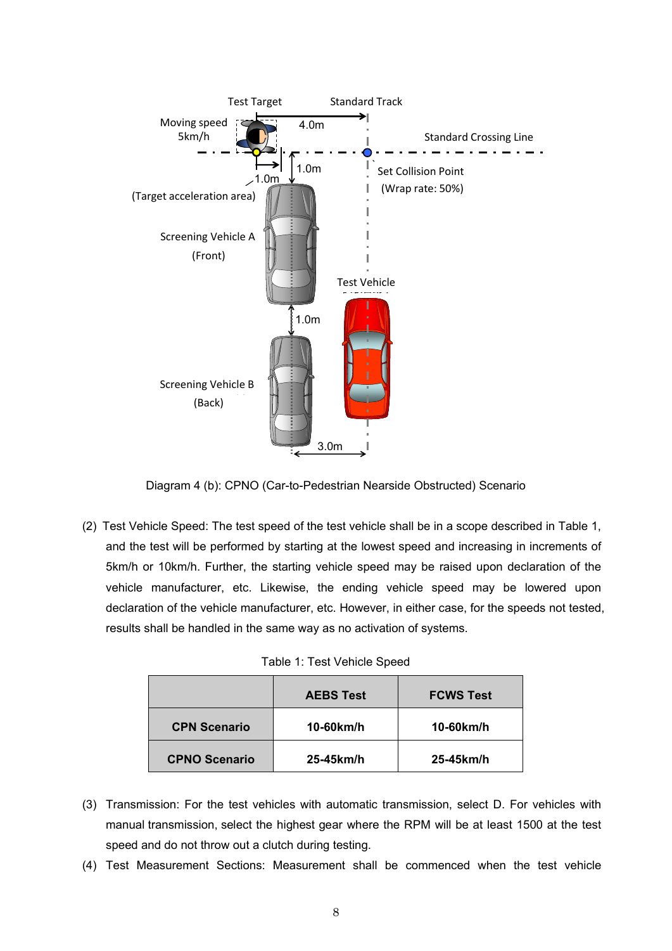

Diagram 4 (b): CPNO (Car-to-Pedestrian Nearside Obstructed) Scenario

(2) Test Vehicle Speed: The test speed of the test vehicle shall be in a scope described in Table 1, and the test will be performed by starting at the lowest speed and increasing in increments of 5km/h or 10km/h. Further, the starting vehicle speed may be raised upon declaration of the vehicle manufacturer, etc. Likewise, the ending vehicle speed may be lowered upon declaration of the vehicle manufacturer, etc. However, in either case, for the speeds not tested, results shall be handled in the same way as no activation of systems.

Table 1: Test Vehicle Speed

|                      | <b>AEBS Test</b> | <b>FCWS Test</b> |
|----------------------|------------------|------------------|
| <b>CPN Scenario</b>  | $10-60$ km/h     | 10-60km/h        |
| <b>CPNO Scenario</b> | 25-45km/h        | 25-45km/h        |

- (3) Transmission: For the test vehicles with automatic transmission, select D. For vehicles with manual transmission, select the highest gear where the RPM will be at least 1500 at the test speed and do not throw out a clutch during testing.
- (4) Test Measurement Sections: Measurement shall be commenced when the test vehicle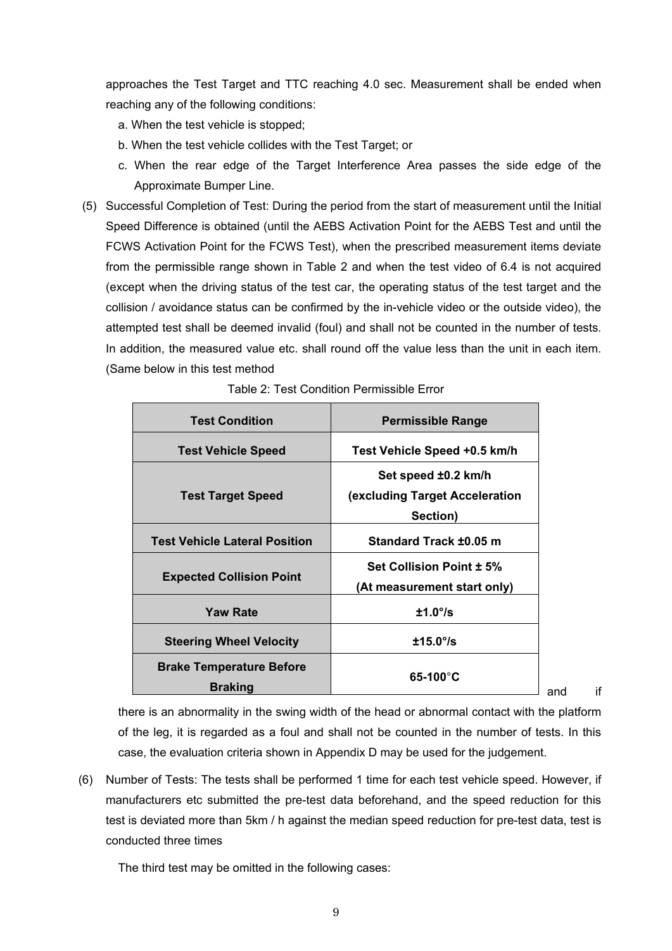approaches the Test Target and TTC reaching 4.0 sec. Measurement shall be ended when reaching any of the following conditions:

- a. When the test vehicle is stopped;
- b. When the test vehicle collides with the Test Target; or
- c. When the rear edge of the Target Interference Area passes the side edge of the Approximate Bumper Line.
- (5) Successful Completion of Test: During the period from the start of measurement until the Initial Speed Difference is obtained (until the AEBS Activation Point for the AEBS Test and until the FCWS Activation Point for the FCWS Test), when the prescribed measurement items deviate from the permissible range shown in Table 2 and when the test video of 6.4 is not acquired (except when the driving status of the test car, the operating status of the test target and the collision / avoidance status can be confirmed by the in-vehicle video or the outside video), the attempted test shall be deemed invalid (foul) and shall not be counted in the number of tests. In addition, the measured value etc. shall round off the value less than the unit in each item. (Same below in this test method

| <b>Test Condition</b>                             | <b>Permissible Range</b>                                                 |
|---------------------------------------------------|--------------------------------------------------------------------------|
| <b>Test Vehicle Speed</b>                         | Test Vehicle Speed +0.5 km/h                                             |
| <b>Test Target Speed</b>                          | Set speed ±0.2 km/h<br><b>(excluding Target Acceleration</b><br>Section) |
| <b>Test Vehicle Lateral Position</b>              | Standard Track ±0.05 m                                                   |
| <b>Expected Collision Point</b>                   | <b>Set Collision Point ± 5%</b><br>(At measurement start only)           |
| <b>Yaw Rate</b>                                   | $±1.0^{\circ}/s$                                                         |
| <b>Steering Wheel Velocity</b>                    | $±15.0^{\circ}/s$                                                        |
| <b>Brake Temperature Before</b><br><b>Braking</b> | $65-100^{\circ}$ C                                                       |

|  |  | Table 2: Test Condition Permissible Error |  |
|--|--|-------------------------------------------|--|
|  |  |                                           |  |

and if

there is an abnormality in the swing width of the head or abnormal contact with the platform of the leg, it is regarded as a foul and shall not be counted in the number of tests. In this case, the evaluation criteria shown in Appendix D may be used for the judgement.

(6) Number of Tests: The tests shall be performed 1 time for each test vehicle speed. However, if manufacturers etc submitted the pre-test data beforehand, and the speed reduction for this test is deviated more than 5km / h against the median speed reduction for pre-test data, test is conducted three times

The third test may be omitted in the following cases: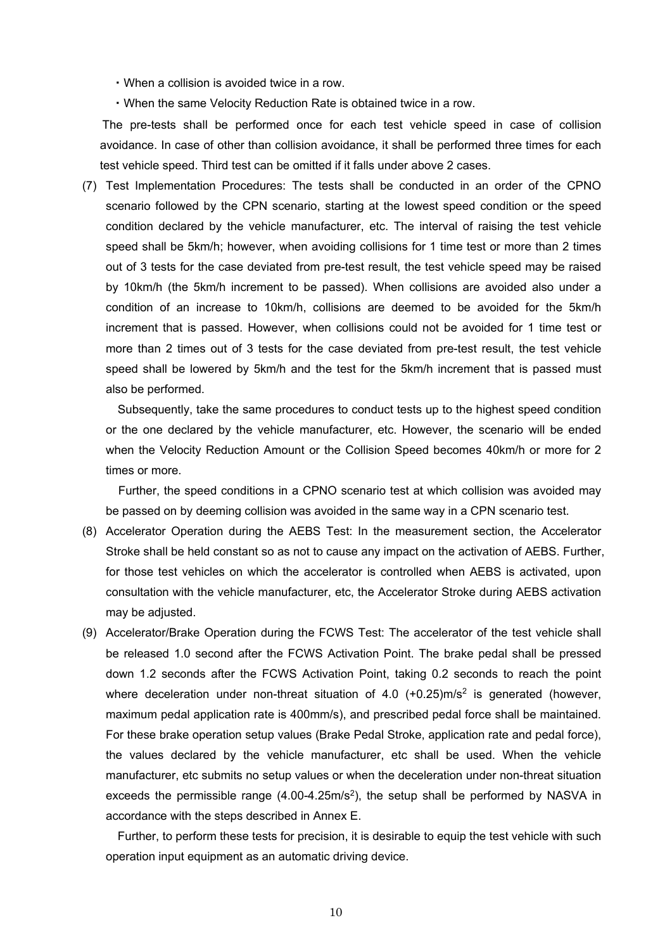・When a collision is avoided twice in a row.

・When the same Velocity Reduction Rate is obtained twice in a row.

The pre-tests shall be performed once for each test vehicle speed in case of collision avoidance. In case of other than collision avoidance, it shall be performed three times for each test vehicle speed. Third test can be omitted if it falls under above 2 cases.

(7) Test Implementation Procedures: The tests shall be conducted in an order of the CPNO scenario followed by the CPN scenario, starting at the lowest speed condition or the speed condition declared by the vehicle manufacturer, etc. The interval of raising the test vehicle speed shall be 5km/h; however, when avoiding collisions for 1 time test or more than 2 times out of 3 tests for the case deviated from pre-test result, the test vehicle speed may be raised by 10km/h (the 5km/h increment to be passed). When collisions are avoided also under a condition of an increase to 10km/h, collisions are deemed to be avoided for the 5km/h increment that is passed. However, when collisions could not be avoided for 1 time test or more than 2 times out of 3 tests for the case deviated from pre-test result, the test vehicle speed shall be lowered by 5km/h and the test for the 5km/h increment that is passed must also be performed.

 Subsequently, take the same procedures to conduct tests up to the highest speed condition or the one declared by the vehicle manufacturer, etc. However, the scenario will be ended when the Velocity Reduction Amount or the Collision Speed becomes 40km/h or more for 2 times or more.

 Further, the speed conditions in a CPNO scenario test at which collision was avoided may be passed on by deeming collision was avoided in the same way in a CPN scenario test.

- (8) Accelerator Operation during the AEBS Test: In the measurement section, the Accelerator Stroke shall be held constant so as not to cause any impact on the activation of AEBS. Further, for those test vehicles on which the accelerator is controlled when AEBS is activated, upon consultation with the vehicle manufacturer, etc, the Accelerator Stroke during AEBS activation may be adjusted.
- (9) Accelerator/Brake Operation during the FCWS Test: The accelerator of the test vehicle shall be released 1.0 second after the FCWS Activation Point. The brake pedal shall be pressed down 1.2 seconds after the FCWS Activation Point, taking 0.2 seconds to reach the point where deceleration under non-threat situation of 4.0  $(+0.25)$ m/s<sup>2</sup> is generated (however, maximum pedal application rate is 400mm/s), and prescribed pedal force shall be maintained. For these brake operation setup values (Brake Pedal Stroke, application rate and pedal force), the values declared by the vehicle manufacturer, etc shall be used. When the vehicle manufacturer, etc submits no setup values or when the deceleration under non-threat situation exceeds the permissible range  $(4.00-4.25m/s<sup>2</sup>)$ , the setup shall be performed by NASVA in accordance with the steps described in Annex E.

 Further, to perform these tests for precision, it is desirable to equip the test vehicle with such operation input equipment as an automatic driving device.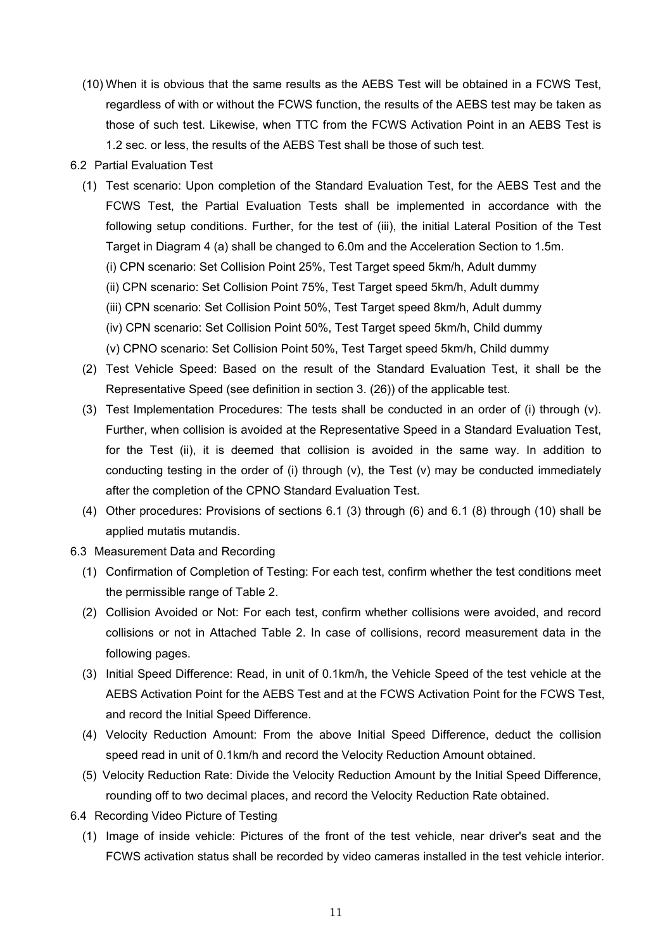(10) When it is obvious that the same results as the AEBS Test will be obtained in a FCWS Test, regardless of with or without the FCWS function, the results of the AEBS test may be taken as those of such test. Likewise, when TTC from the FCWS Activation Point in an AEBS Test is 1.2 sec. or less, the results of the AEBS Test shall be those of such test.

## 6.2 Partial Evaluation Test

- (1) Test scenario: Upon completion of the Standard Evaluation Test, for the AEBS Test and the FCWS Test, the Partial Evaluation Tests shall be implemented in accordance with the following setup conditions. Further, for the test of (iii), the initial Lateral Position of the Test Target in Diagram 4 (a) shall be changed to 6.0m and the Acceleration Section to 1.5m.
	- (i) CPN scenario: Set Collision Point 25%, Test Target speed 5km/h, Adult dummy
	- (ii) CPN scenario: Set Collision Point 75%, Test Target speed 5km/h, Adult dummy
	- (iii) CPN scenario: Set Collision Point 50%, Test Target speed 8km/h, Adult dummy
	- (iv) CPN scenario: Set Collision Point 50%, Test Target speed 5km/h, Child dummy
	- (v) CPNO scenario: Set Collision Point 50%, Test Target speed 5km/h, Child dummy
- (2) Test Vehicle Speed: Based on the result of the Standard Evaluation Test, it shall be the Representative Speed (see definition in section 3. (26)) of the applicable test.
- (3) Test Implementation Procedures: The tests shall be conducted in an order of (i) through (v). Further, when collision is avoided at the Representative Speed in a Standard Evaluation Test, for the Test (ii), it is deemed that collision is avoided in the same way. In addition to conducting testing in the order of (i) through (v), the Test (v) may be conducted immediately after the completion of the CPNO Standard Evaluation Test.
- (4) Other procedures: Provisions of sections 6.1 (3) through (6) and 6.1 (8) through (10) shall be applied mutatis mutandis.
- 6.3 Measurement Data and Recording
	- (1) Confirmation of Completion of Testing: For each test, confirm whether the test conditions meet the permissible range of Table 2.
	- (2) Collision Avoided or Not: For each test, confirm whether collisions were avoided, and record collisions or not in Attached Table 2. In case of collisions, record measurement data in the following pages.
	- (3) Initial Speed Difference: Read, in unit of 0.1km/h, the Vehicle Speed of the test vehicle at the AEBS Activation Point for the AEBS Test and at the FCWS Activation Point for the FCWS Test, and record the Initial Speed Difference.
	- (4) Velocity Reduction Amount: From the above Initial Speed Difference, deduct the collision speed read in unit of 0.1km/h and record the Velocity Reduction Amount obtained.
	- (5) Velocity Reduction Rate: Divide the Velocity Reduction Amount by the Initial Speed Difference, rounding off to two decimal places, and record the Velocity Reduction Rate obtained.
- 6.4 Recording Video Picture of Testing
	- (1) Image of inside vehicle: Pictures of the front of the test vehicle, near driver's seat and the FCWS activation status shall be recorded by video cameras installed in the test vehicle interior.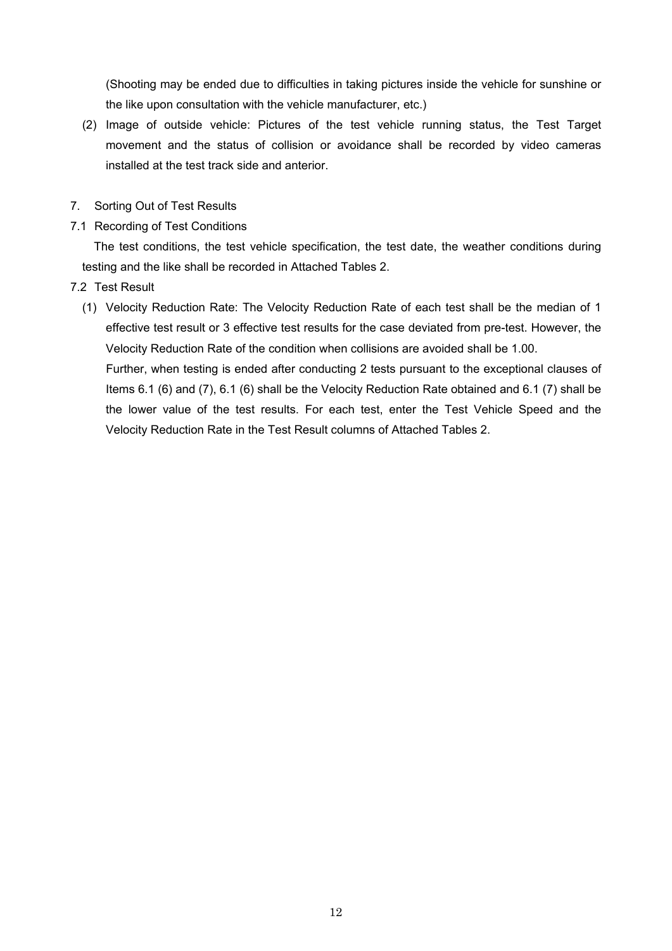(Shooting may be ended due to difficulties in taking pictures inside the vehicle for sunshine or the like upon consultation with the vehicle manufacturer, etc.)

- (2) Image of outside vehicle: Pictures of the test vehicle running status, the Test Target movement and the status of collision or avoidance shall be recorded by video cameras installed at the test track side and anterior.
- 7. Sorting Out of Test Results
- 7.1 Recording of Test Conditions

The test conditions, the test vehicle specification, the test date, the weather conditions during testing and the like shall be recorded in Attached Tables 2.

- 7.2 Test Result
	- (1) Velocity Reduction Rate: The Velocity Reduction Rate of each test shall be the median of 1 effective test result or 3 effective test results for the case deviated from pre-test. However, the Velocity Reduction Rate of the condition when collisions are avoided shall be 1.00.

 Further, when testing is ended after conducting 2 tests pursuant to the exceptional clauses of Items 6.1 (6) and (7), 6.1 (6) shall be the Velocity Reduction Rate obtained and 6.1 (7) shall be the lower value of the test results. For each test, enter the Test Vehicle Speed and the Velocity Reduction Rate in the Test Result columns of Attached Tables 2.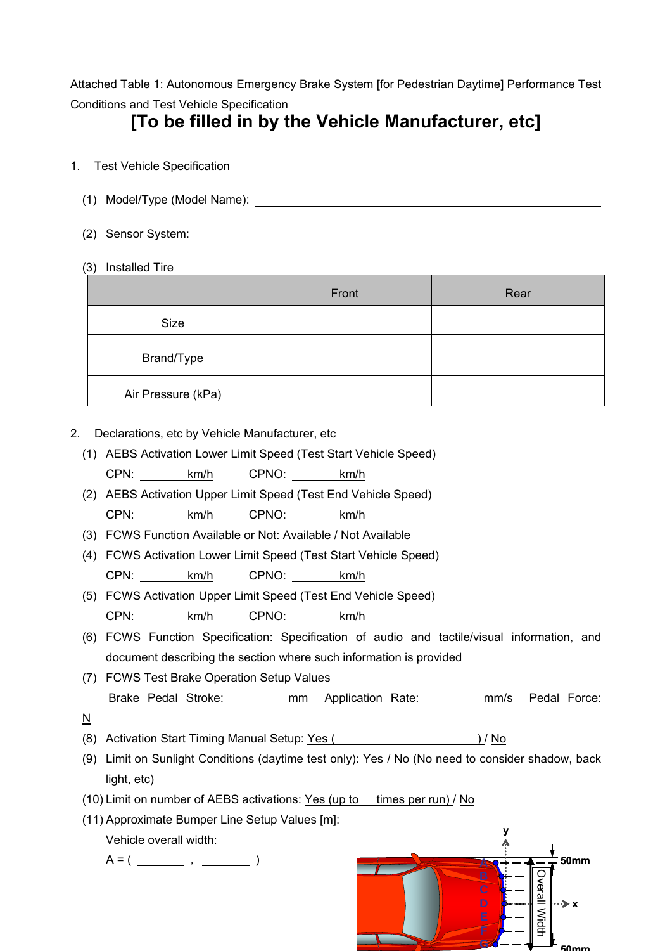Attached Table 1: Autonomous Emergency Brake System [for Pedestrian Daytime] Performance Test Conditions and Test Vehicle Specification

# **[To be filled in by the Vehicle Manufacturer, etc]**

- 1. Test Vehicle Specification
	- (1) Model/Type (Model Name):
	- (2) Sensor System:
	- (3) Installed Tire

|                    | Front | Rear |
|--------------------|-------|------|
| Size               |       |      |
| Brand/Type         |       |      |
| Air Pressure (kPa) |       |      |

- 2. Declarations, etc by Vehicle Manufacturer, etc
	- (1) AEBS Activation Lower Limit Speed (Test Start Vehicle Speed) CPN: km/h CPNO: km/h
	- (2) AEBS Activation Upper Limit Speed (Test End Vehicle Speed) CPN: km/h CPNO: km/h

(3) FCWS Function Available or Not: Available / Not Available

- (4) FCWS Activation Lower Limit Speed (Test Start Vehicle Speed) CPN: km/h CPNO: km/h
- (5) FCWS Activation Upper Limit Speed (Test End Vehicle Speed) CPN: km/h CPNO: km/h
- (6) FCWS Function Specification: Specification of audio and tactile/visual information, and document describing the section where such information is provided
- (7) FCWS Test Brake Operation Setup Values Brake Pedal Stroke: mm Application Rate: mm/s Pedal Force:
- N
- (8) Activation Start Timing Manual Setup: Yes ( ) / No
- (9) Limit on Sunlight Conditions (daytime test only): Yes / No (No need to consider shadow, back light, etc)
- (10) Limit on number of AEBS activations: Yes (up to times per run) / No
- (11) Approximate Bumper Line Setup Values [m]:

Vehicle overall width:

 $A = ($  ,  $)$ 

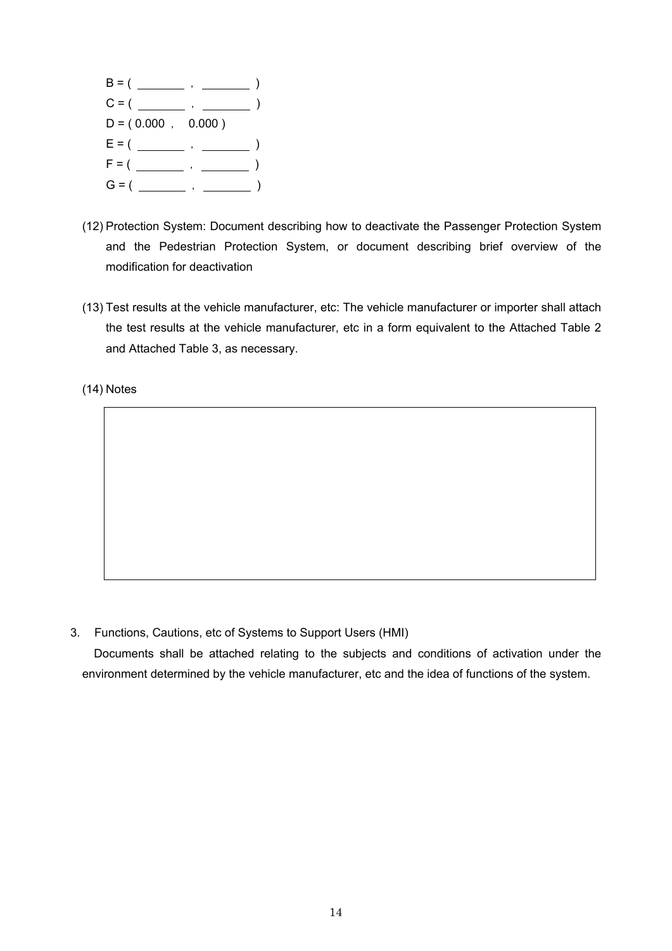

- (12) Protection System: Document describing how to deactivate the Passenger Protection System and the Pedestrian Protection System, or document describing brief overview of the modification for deactivation
- (13) Test results at the vehicle manufacturer, etc: The vehicle manufacturer or importer shall attach the test results at the vehicle manufacturer, etc in a form equivalent to the Attached Table 2 and Attached Table 3, as necessary.

(14) Notes

3. Functions, Cautions, etc of Systems to Support Users (HMI)

Documents shall be attached relating to the subjects and conditions of activation under the environment determined by the vehicle manufacturer, etc and the idea of functions of the system.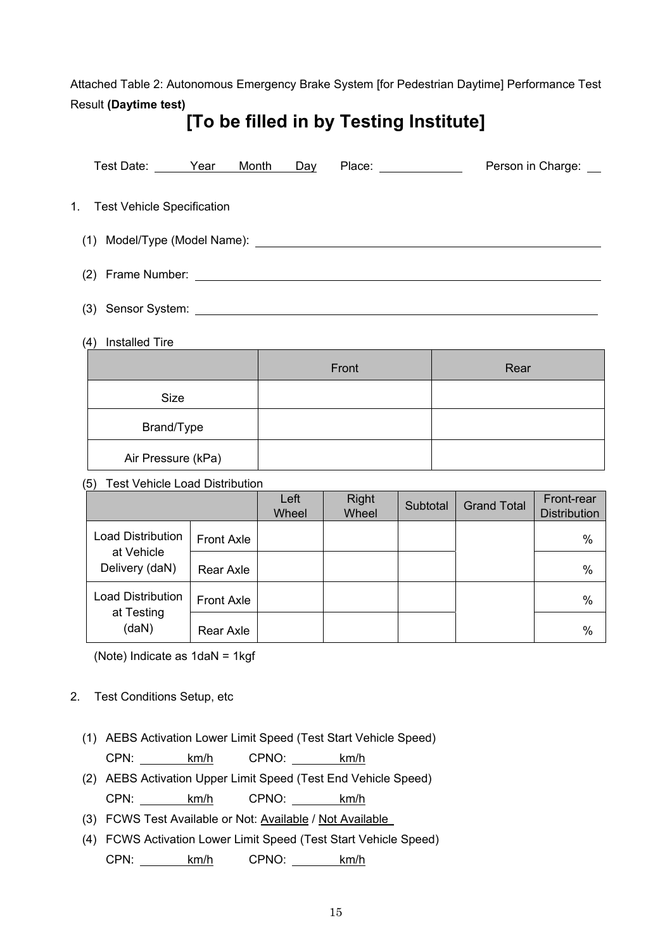Attached Table 2: Autonomous Emergency Brake System [for Pedestrian Daytime] Performance Test Result **(Daytime test)** 

# **[To be filled in by Testing Institute]**

| Test Date: Year               | Month | Day | Place: _____________                                                                                                 | Person in Charge: __ |
|-------------------------------|-------|-----|----------------------------------------------------------------------------------------------------------------------|----------------------|
| 1. Test Vehicle Specification |       |     |                                                                                                                      |                      |
|                               |       |     |                                                                                                                      |                      |
|                               |       |     |                                                                                                                      |                      |
| Sensor System:<br>(3)         |       |     | <u> 1989 - John Stein, markin sanadi a shekara ta 1989 - An tsara tsara tsara tsara tsara tsara tsara tsara tsar</u> |                      |

# (4) Installed Tire

|                    | Front | Rear |
|--------------------|-------|------|
| Size               |       |      |
| Brand/Type         |       |      |
| Air Pressure (kPa) |       |      |

# (5) Test Vehicle Load Distribution

|                                                          |                   | Left<br>Wheel | <b>Right</b><br>Wheel | Subtotal | <b>Grand Total</b> | Front-rear<br><b>Distribution</b> |
|----------------------------------------------------------|-------------------|---------------|-----------------------|----------|--------------------|-----------------------------------|
| <b>Load Distribution</b><br>at Vehicle<br>Delivery (daN) | <b>Front Axle</b> |               |                       |          |                    | $\%$                              |
|                                                          | Rear Axle         |               |                       |          |                    | $\%$                              |
| <b>Load Distribution</b><br>at Testing<br>(daN)          | <b>Front Axle</b> |               |                       |          |                    | $\%$                              |
|                                                          | Rear Axle         |               |                       |          |                    | $\%$                              |

(Note) Indicate as 1daN = 1kgf

# 2. Test Conditions Setup, etc

(1) AEBS Activation Lower Limit Speed (Test Start Vehicle Speed)

CPN: km/h CPNO: km/h

- (2) AEBS Activation Upper Limit Speed (Test End Vehicle Speed) CPN: km/h CPNO: km/h
- (3) FCWS Test Available or Not: Available / Not Available
- (4) FCWS Activation Lower Limit Speed (Test Start Vehicle Speed) CPN: km/h CPNO: km/h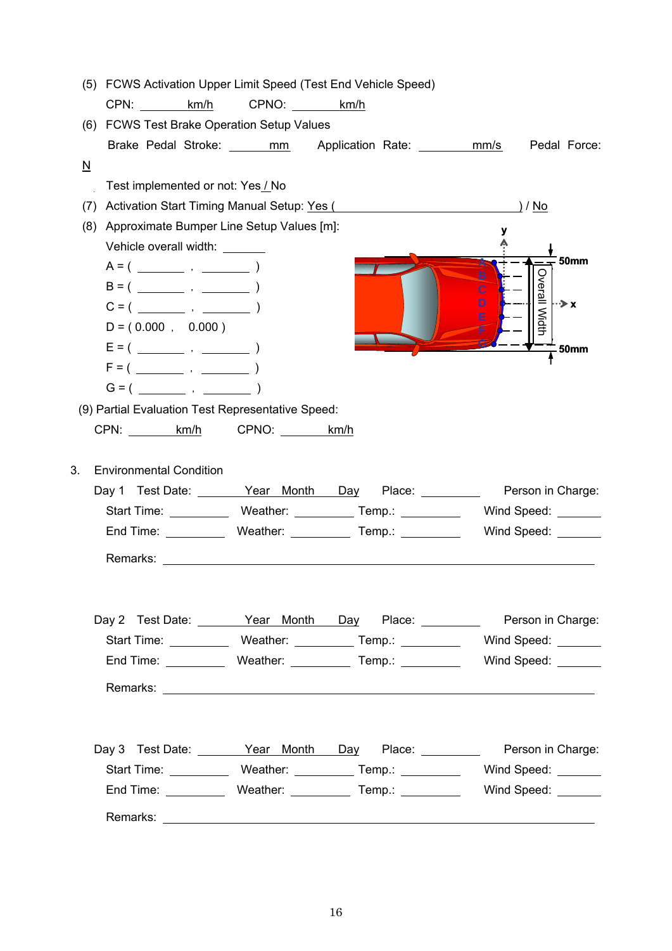|                          | (5) FCWS Activation Upper Limit Speed (Test End Vehicle Speed) |            |                                                                       |                                                                                            |
|--------------------------|----------------------------------------------------------------|------------|-----------------------------------------------------------------------|--------------------------------------------------------------------------------------------|
|                          | CPN: km/h                                                      | CPNO: km/h |                                                                       |                                                                                            |
|                          | (6) FCWS Test Brake Operation Setup Values                     |            |                                                                       |                                                                                            |
|                          |                                                                |            | Brake Pedal Stroke: ______ mm____ Application Rate: ________ mm/s     | Pedal Force:                                                                               |
| $\underline{\mathsf{N}}$ |                                                                |            |                                                                       |                                                                                            |
|                          | Test implemented or not: Yes / No                              |            |                                                                       |                                                                                            |
| (7)                      |                                                                |            | Activation Start Timing Manual Setup: Yes (                           | <u>) / No</u>                                                                              |
| (8)                      | Approximate Bumper Line Setup Values [m]:                      |            |                                                                       |                                                                                            |
|                          | Vehicle overall width: \[\]                                    |            |                                                                       |                                                                                            |
|                          |                                                                |            |                                                                       | <b>50mm</b>                                                                                |
|                          |                                                                |            |                                                                       | Overall Width                                                                              |
|                          |                                                                |            |                                                                       | D<br>⊶≽ x<br>E                                                                             |
|                          | $D = (0.000, 0.000)$                                           |            |                                                                       |                                                                                            |
|                          |                                                                |            |                                                                       | <b>50mm</b>                                                                                |
|                          |                                                                |            |                                                                       |                                                                                            |
|                          |                                                                |            |                                                                       |                                                                                            |
|                          | (9) Partial Evaluation Test Representative Speed:              |            |                                                                       |                                                                                            |
|                          | CPN: km/h CPNO: km/h                                           |            |                                                                       |                                                                                            |
|                          |                                                                |            |                                                                       |                                                                                            |
| 3.                       | <b>Environmental Condition</b>                                 |            |                                                                       |                                                                                            |
|                          | Day 1 Test Date: Vear Month Day                                |            | Place: ______                                                         | Person in Charge:                                                                          |
|                          |                                                                |            | Start Time: Weather: Temp.: Temp.: Netally Research Contains a Temp.: | Wind Speed:                                                                                |
|                          |                                                                |            | End Time: Weather: Temp.: Temp.:                                      | Wind Speed: _______                                                                        |
|                          | Remarks:                                                       |            |                                                                       |                                                                                            |
|                          |                                                                |            |                                                                       |                                                                                            |
|                          |                                                                |            |                                                                       |                                                                                            |
|                          |                                                                |            |                                                                       | Day 2 Test Date: <u>Year Month Day</u> Place: Person in Charge:                            |
|                          |                                                                |            |                                                                       | Start Time: _____________ Weather: ___________ Temp.: ____________  Wind Speed: _______    |
|                          |                                                                |            |                                                                       | End Time: _____________ Weather: _____________ Temp.: _______________ Wind Speed: ________ |
|                          |                                                                |            |                                                                       |                                                                                            |
|                          |                                                                |            |                                                                       |                                                                                            |
|                          |                                                                |            |                                                                       |                                                                                            |
|                          |                                                                |            |                                                                       | Day 3 Test Date: <u>Year Month Day</u> Place: Place: Person in Charge:                     |
|                          |                                                                |            |                                                                       | Start Time: _____________ Weather: ___________ Temp.: _____________ Wind Speed: _______    |
|                          |                                                                |            |                                                                       | End Time: _____________Weather: _____________Temp.: ______________Wind Speed: ________     |
|                          |                                                                |            |                                                                       |                                                                                            |
|                          |                                                                |            |                                                                       |                                                                                            |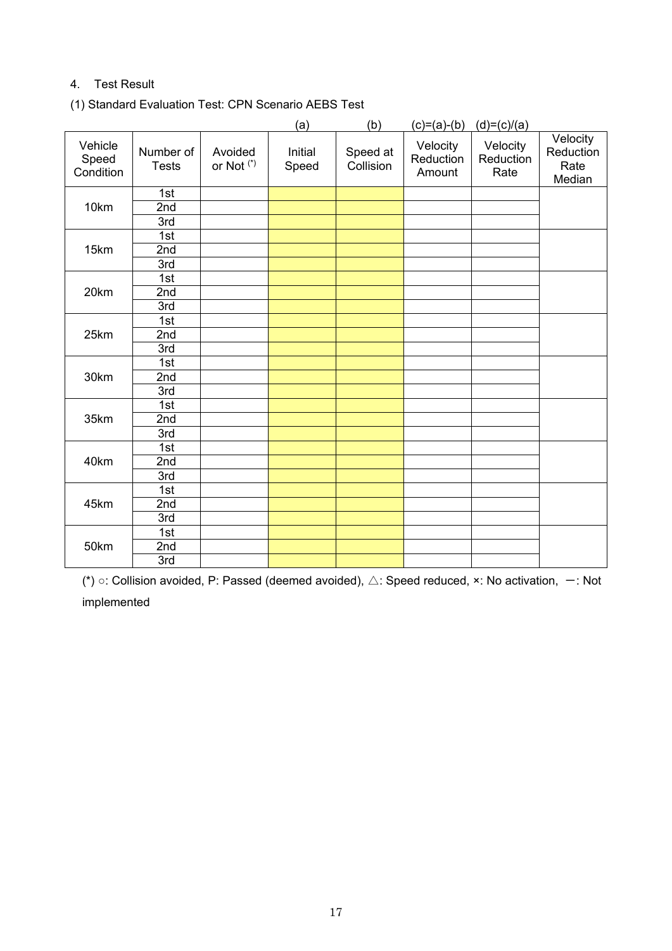# 4. Test Result

(1) Standard Evaluation Test: CPN Scenario AEBS Test

|                               |                           |                                  | (a)              | (b)                   | $(c)=(a)-(b)$                   | $(d)=(c)/(a)$                 |                                         |
|-------------------------------|---------------------------|----------------------------------|------------------|-----------------------|---------------------------------|-------------------------------|-----------------------------------------|
| Vehicle<br>Speed<br>Condition | Number of<br><b>Tests</b> | Avoided<br>or Not <sup>(*)</sup> | Initial<br>Speed | Speed at<br>Collision | Velocity<br>Reduction<br>Amount | Velocity<br>Reduction<br>Rate | Velocity<br>Reduction<br>Rate<br>Median |
|                               | 1st                       |                                  |                  |                       |                                 |                               |                                         |
| 10km                          | 2nd                       |                                  |                  |                       |                                 |                               |                                         |
|                               | 3rd                       |                                  |                  |                       |                                 |                               |                                         |
|                               | 1st                       |                                  |                  |                       |                                 |                               |                                         |
| 15km                          | 2nd                       |                                  |                  |                       |                                 |                               |                                         |
|                               | 3rd                       |                                  |                  |                       |                                 |                               |                                         |
|                               | 1st                       |                                  |                  |                       |                                 |                               |                                         |
| 20km                          | 2nd                       |                                  |                  |                       |                                 |                               |                                         |
|                               | 3rd                       |                                  |                  |                       |                                 |                               |                                         |
|                               | 1st                       |                                  |                  |                       |                                 |                               |                                         |
| 25km                          | 2nd                       |                                  |                  |                       |                                 |                               |                                         |
|                               | 3rd                       |                                  |                  |                       |                                 |                               |                                         |
|                               | 1st                       |                                  |                  |                       |                                 |                               |                                         |
| 30km                          | 2nd                       |                                  |                  |                       |                                 |                               |                                         |
|                               | 3rd                       |                                  |                  |                       |                                 |                               |                                         |
|                               | 1st                       |                                  |                  |                       |                                 |                               |                                         |
| 35km                          | 2nd                       |                                  |                  |                       |                                 |                               |                                         |
|                               | 3rd                       |                                  |                  |                       |                                 |                               |                                         |
|                               | 1st                       |                                  |                  |                       |                                 |                               |                                         |
| 40km                          | 2nd                       |                                  |                  |                       |                                 |                               |                                         |
|                               | 3rd                       |                                  |                  |                       |                                 |                               |                                         |
|                               | 1st                       |                                  |                  |                       |                                 |                               |                                         |
| 45km                          | 2nd                       |                                  |                  |                       |                                 |                               |                                         |
|                               | 3rd                       |                                  |                  |                       |                                 |                               |                                         |
|                               | 1st                       |                                  |                  |                       |                                 |                               |                                         |
| 50km                          | 2nd                       |                                  |                  |                       |                                 |                               |                                         |
|                               | 3rd                       |                                  |                  |                       |                                 |                               |                                         |

(\*)  $\circ$ : Collision avoided, P: Passed (deemed avoided),  $\triangle$ : Speed reduced, ×: No activation,  $-$ : Not implemented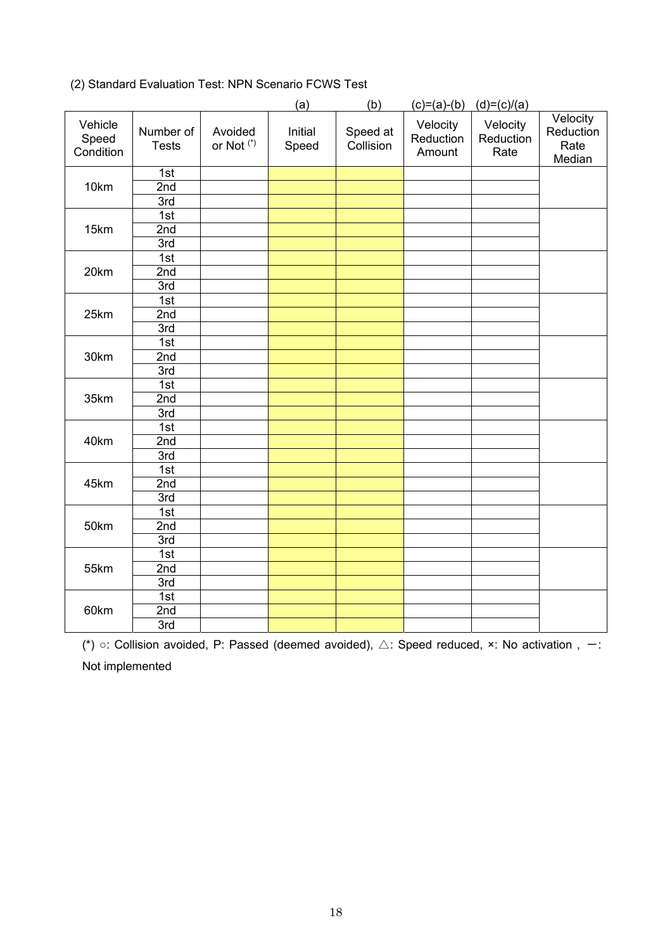|                               |                           |                                  | (a)              | (b)                   | $(c)=(a)-(b)$                   | $(d)=(c)/(a)$                 |                                         |
|-------------------------------|---------------------------|----------------------------------|------------------|-----------------------|---------------------------------|-------------------------------|-----------------------------------------|
| Vehicle<br>Speed<br>Condition | Number of<br><b>Tests</b> | Avoided<br>or Not <sup>(*)</sup> | Initial<br>Speed | Speed at<br>Collision | Velocity<br>Reduction<br>Amount | Velocity<br>Reduction<br>Rate | Velocity<br>Reduction<br>Rate<br>Median |
|                               | 1st                       |                                  |                  |                       |                                 |                               |                                         |
| 10km                          | 2nd                       |                                  |                  |                       |                                 |                               |                                         |
|                               | 3rd                       |                                  |                  |                       |                                 |                               |                                         |
|                               | 1st                       |                                  |                  |                       |                                 |                               |                                         |
| 15km                          | 2nd                       |                                  |                  |                       |                                 |                               |                                         |
|                               | 3rd                       |                                  |                  |                       |                                 |                               |                                         |
|                               | 1st                       |                                  |                  |                       |                                 |                               |                                         |
| 20km                          | 2nd                       |                                  |                  |                       |                                 |                               |                                         |
|                               | 3rd                       |                                  |                  |                       |                                 |                               |                                         |
|                               | 1st                       |                                  |                  |                       |                                 |                               |                                         |
| 25km                          | 2nd                       |                                  |                  |                       |                                 |                               |                                         |
|                               | 3rd                       |                                  |                  |                       |                                 |                               |                                         |
|                               | 1st                       |                                  |                  |                       |                                 |                               |                                         |
| 30km                          | 2nd                       |                                  |                  |                       |                                 |                               |                                         |
|                               | 3rd                       |                                  |                  |                       |                                 |                               |                                         |
|                               | 1st                       |                                  |                  |                       |                                 |                               |                                         |
| 35km                          | 2nd                       |                                  |                  |                       |                                 |                               |                                         |
|                               | 3rd                       |                                  |                  |                       |                                 |                               |                                         |
|                               | 1st                       |                                  |                  |                       |                                 |                               |                                         |
| 40km                          | 2nd                       |                                  |                  |                       |                                 |                               |                                         |
|                               | 3rd                       |                                  |                  |                       |                                 |                               |                                         |
|                               | 1st                       |                                  |                  |                       |                                 |                               |                                         |
| 45km                          | 2nd                       |                                  |                  |                       |                                 |                               |                                         |
|                               | 3rd                       |                                  |                  |                       |                                 |                               |                                         |
|                               | 1st                       |                                  |                  |                       |                                 |                               |                                         |
| 50km                          | 2nd                       |                                  |                  |                       |                                 |                               |                                         |
|                               | 3rd                       |                                  |                  |                       |                                 |                               |                                         |
|                               | 1st                       |                                  |                  |                       |                                 |                               |                                         |
| 55km                          | 2nd                       |                                  |                  |                       |                                 |                               |                                         |
|                               | 3rd                       |                                  |                  |                       |                                 |                               |                                         |
|                               | 1st                       |                                  |                  |                       |                                 |                               |                                         |
| 60km                          | 2nd                       |                                  |                  |                       |                                 |                               |                                         |
|                               | 3rd                       |                                  |                  |                       |                                 |                               |                                         |

# (2) Standard Evaluation Test: NPN Scenario FCWS Test

(\*)  $\circ$ : Collision avoided, P: Passed (deemed avoided),  $\triangle$ : Speed reduced,  $\times$ : No activation , -: Not implemented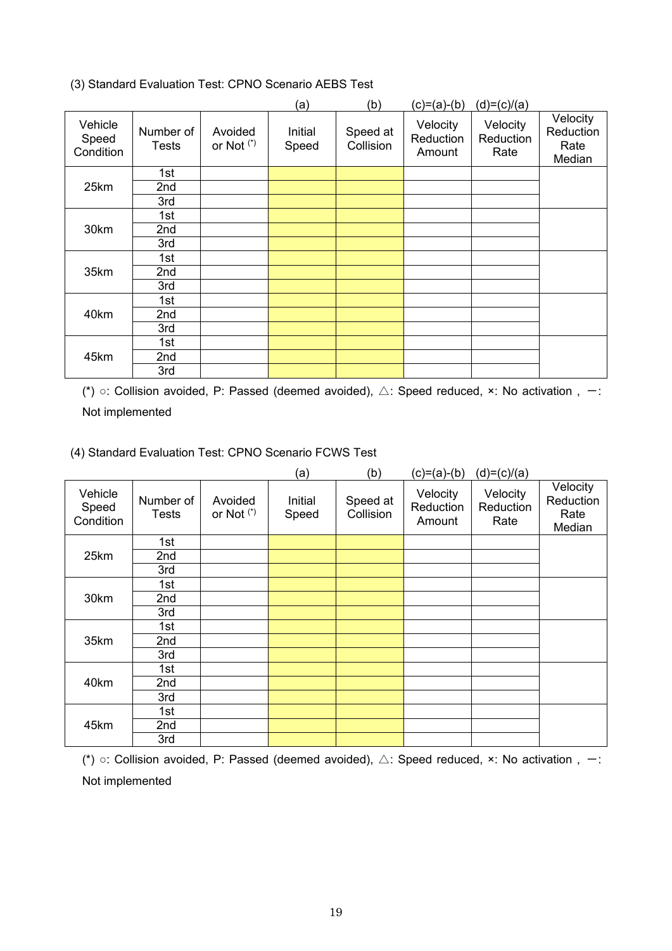(3) Standard Evaluation Test: CPNO Scenario AEBS Test

|                               |                           |                                  | (a)              | (b)                   | (c)=(a)-(b)                     | $(d)=(c)/(a)$                 |                                         |
|-------------------------------|---------------------------|----------------------------------|------------------|-----------------------|---------------------------------|-------------------------------|-----------------------------------------|
| Vehicle<br>Speed<br>Condition | Number of<br><b>Tests</b> | Avoided<br>or Not <sup>(*)</sup> | Initial<br>Speed | Speed at<br>Collision | Velocity<br>Reduction<br>Amount | Velocity<br>Reduction<br>Rate | Velocity<br>Reduction<br>Rate<br>Median |
|                               | 1st                       |                                  |                  |                       |                                 |                               |                                         |
| 25km                          | 2nd                       |                                  |                  |                       |                                 |                               |                                         |
|                               | 3rd                       |                                  |                  |                       |                                 |                               |                                         |
|                               | 1st                       |                                  |                  |                       |                                 |                               |                                         |
| 30km                          | 2nd                       |                                  |                  |                       |                                 |                               |                                         |
|                               | 3rd                       |                                  |                  |                       |                                 |                               |                                         |
|                               | 1st                       |                                  |                  |                       |                                 |                               |                                         |
| 35km                          | 2nd                       |                                  |                  |                       |                                 |                               |                                         |
|                               | 3rd                       |                                  |                  |                       |                                 |                               |                                         |
|                               | 1st                       |                                  |                  |                       |                                 |                               |                                         |
| 40km                          | 2nd                       |                                  |                  |                       |                                 |                               |                                         |
|                               | 3rd                       |                                  |                  |                       |                                 |                               |                                         |
|                               | 1st                       |                                  |                  |                       |                                 |                               |                                         |
| 45km                          | 2nd                       |                                  |                  |                       |                                 |                               |                                         |
|                               | 3rd                       |                                  |                  |                       |                                 |                               |                                         |

(\*)  $\circ$ : Collision avoided, P: Passed (deemed avoided),  $\triangle$ : Speed reduced, ×: No activation, -: Not implemented

(4) Standard Evaluation Test: CPNO Scenario FCWS Test

|                               |                           |                                  | (a)              | (b)                   | (c)=(a)-(b)                     | $(d)=(c)/(a)$                 |                                         |
|-------------------------------|---------------------------|----------------------------------|------------------|-----------------------|---------------------------------|-------------------------------|-----------------------------------------|
| Vehicle<br>Speed<br>Condition | Number of<br><b>Tests</b> | Avoided<br>or Not <sup>(*)</sup> | Initial<br>Speed | Speed at<br>Collision | Velocity<br>Reduction<br>Amount | Velocity<br>Reduction<br>Rate | Velocity<br>Reduction<br>Rate<br>Median |
|                               | 1st                       |                                  |                  |                       |                                 |                               |                                         |
| 25km                          | 2nd                       |                                  |                  |                       |                                 |                               |                                         |
|                               | 3rd                       |                                  |                  |                       |                                 |                               |                                         |
|                               | 1st                       |                                  |                  |                       |                                 |                               |                                         |
| 30km                          | 2nd                       |                                  |                  |                       |                                 |                               |                                         |
|                               | 3rd                       |                                  |                  |                       |                                 |                               |                                         |
|                               | 1st                       |                                  |                  |                       |                                 |                               |                                         |
| 35km                          | 2nd                       |                                  |                  |                       |                                 |                               |                                         |
|                               | 3rd                       |                                  |                  |                       |                                 |                               |                                         |
|                               | 1st                       |                                  |                  |                       |                                 |                               |                                         |
| 40km                          | 2nd                       |                                  |                  |                       |                                 |                               |                                         |
|                               | 3rd                       |                                  |                  |                       |                                 |                               |                                         |
|                               | 1st                       |                                  |                  |                       |                                 |                               |                                         |
| 45km                          | 2nd                       |                                  |                  |                       |                                 |                               |                                         |
|                               | 3rd                       |                                  |                  |                       |                                 |                               |                                         |

(\*)  $\circ$ : Collision avoided, P: Passed (deemed avoided),  $\triangle$ : Speed reduced, ×: No activation, -: Not implemented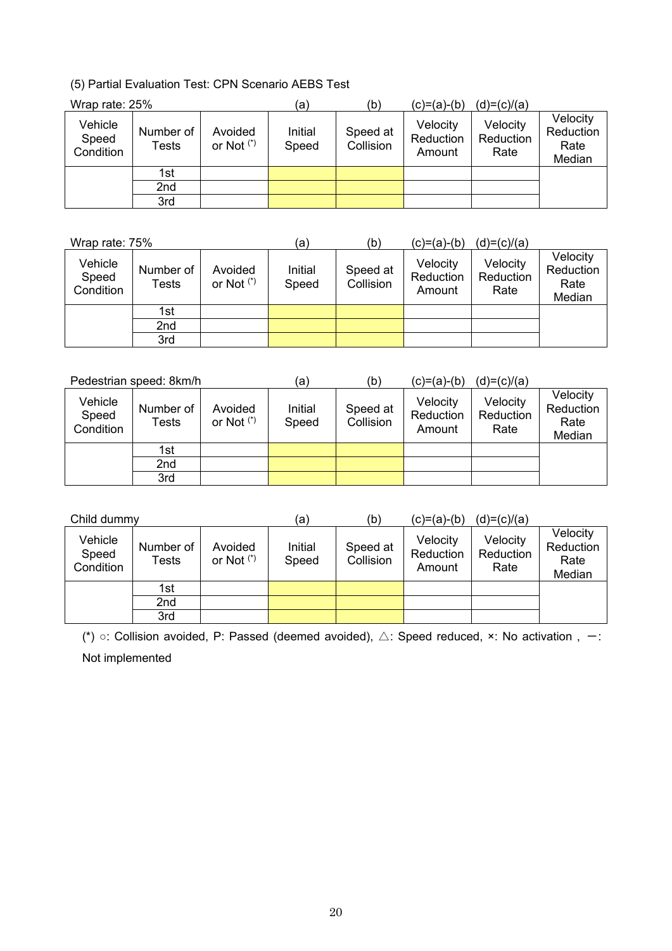(5) Partial Evaluation Test: CPN Scenario AEBS Test

| Wrap rate: 25%                |                    |                         | (a`              | (b)                   | (c)=(a)-(b)                     | $(d)=(c)/(a)$                 |                                         |
|-------------------------------|--------------------|-------------------------|------------------|-----------------------|---------------------------------|-------------------------------|-----------------------------------------|
| Vehicle<br>Speed<br>Condition | Number of<br>Tests | Avoided<br>or Not $(*)$ | Initial<br>Speed | Speed at<br>Collision | Velocity<br>Reduction<br>Amount | Velocity<br>Reduction<br>Rate | Velocity<br>Reduction<br>Rate<br>Median |
|                               | 1st                |                         |                  |                       |                                 |                               |                                         |
|                               | 2nd                |                         |                  |                       |                                 |                               |                                         |
|                               | 3rd                |                         |                  |                       |                                 |                               |                                         |

| Wrap rate: 75%                |                    |                         | (a)              | (b)                   | (c)=(a)-(b)                     | $(d)=(c)/(a)$                 |                                         |
|-------------------------------|--------------------|-------------------------|------------------|-----------------------|---------------------------------|-------------------------------|-----------------------------------------|
| Vehicle<br>Speed<br>Condition | Number of<br>Tests | Avoided<br>or Not $(*)$ | Initial<br>Speed | Speed at<br>Collision | Velocity<br>Reduction<br>Amount | Velocity<br>Reduction<br>Rate | Velocity<br>Reduction<br>Rate<br>Median |
|                               | 1st                |                         |                  |                       |                                 |                               |                                         |
|                               | 2nd                |                         |                  |                       |                                 |                               |                                         |
|                               | 3rd                |                         |                  |                       |                                 |                               |                                         |

| Pedestrian speed: 8km/h       |                    |                         | (a)              | (b)                   | $(c)=(a)-(b)$                   | $(d)=(c)/(a)$                 |                                         |
|-------------------------------|--------------------|-------------------------|------------------|-----------------------|---------------------------------|-------------------------------|-----------------------------------------|
| Vehicle<br>Speed<br>Condition | Number of<br>Tests | Avoided<br>or Not $(*)$ | Initial<br>Speed | Speed at<br>Collision | Velocity<br>Reduction<br>Amount | Velocity<br>Reduction<br>Rate | Velocity<br>Reduction<br>Rate<br>Median |
|                               | 1st                |                         |                  |                       |                                 |                               |                                         |
|                               | 2nd                |                         |                  |                       |                                 |                               |                                         |
|                               | 3rd                |                         |                  |                       |                                 |                               |                                         |

| Child dummy                   |                    |                         | (a)              | (b)                   | $(c)=(a)-(b)$                   | $(d)=(c)/(a)$                 |                                         |
|-------------------------------|--------------------|-------------------------|------------------|-----------------------|---------------------------------|-------------------------------|-----------------------------------------|
| Vehicle<br>Speed<br>Condition | Number of<br>Tests | Avoided<br>or Not $(*)$ | Initial<br>Speed | Speed at<br>Collision | Velocity<br>Reduction<br>Amount | Velocity<br>Reduction<br>Rate | Velocity<br>Reduction<br>Rate<br>Median |
|                               | 1st                |                         |                  |                       |                                 |                               |                                         |
|                               | 2nd                |                         |                  |                       |                                 |                               |                                         |
|                               | 3rd                |                         |                  |                       |                                 |                               |                                         |

(\*)  $\circ$ : Collision avoided, P: Passed (deemed avoided),  $\triangle$ : Speed reduced, ×: No activation, -: Not implemented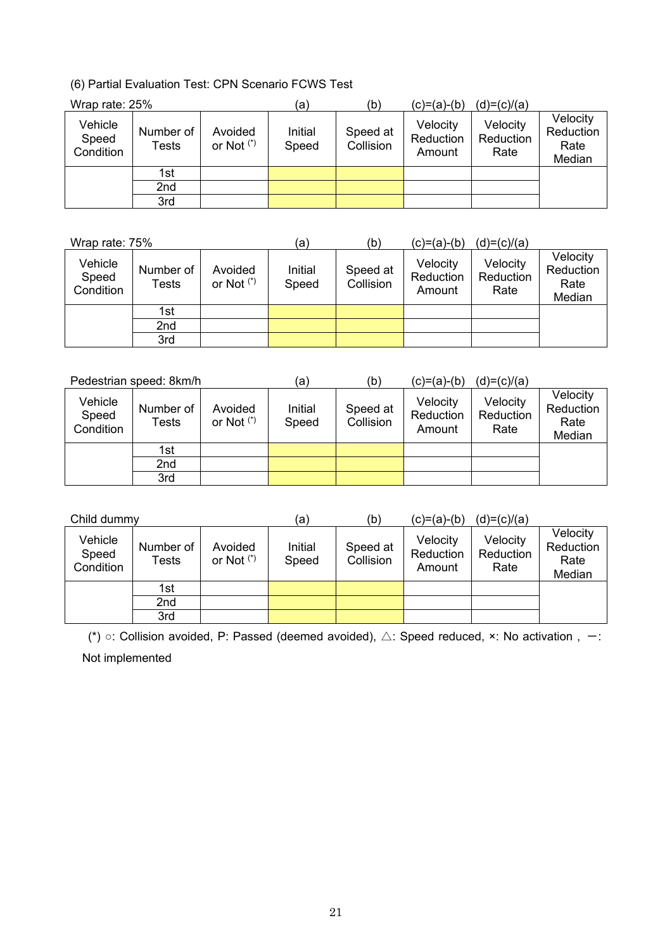(6) Partial Evaluation Test: CPN Scenario FCWS Test

| Wrap rate: 25%                |                    |                         | (a`              | (b)                   | (c)=(a)-(b)                     | $(d)=(c)/(a)$                 |                                         |
|-------------------------------|--------------------|-------------------------|------------------|-----------------------|---------------------------------|-------------------------------|-----------------------------------------|
| Vehicle<br>Speed<br>Condition | Number of<br>Tests | Avoided<br>or Not $(*)$ | Initial<br>Speed | Speed at<br>Collision | Velocity<br>Reduction<br>Amount | Velocity<br>Reduction<br>Rate | Velocity<br>Reduction<br>Rate<br>Median |
|                               | 1st                |                         |                  |                       |                                 |                               |                                         |
|                               | 2nd                |                         |                  |                       |                                 |                               |                                         |
|                               | 3rd                |                         |                  |                       |                                 |                               |                                         |

| Wrap rate: 75%                |                    |                         | (a)              | (b)                   | (c)=(a)-(b)                     | $(d)=(c)/(a)$                 |                                         |
|-------------------------------|--------------------|-------------------------|------------------|-----------------------|---------------------------------|-------------------------------|-----------------------------------------|
| Vehicle<br>Speed<br>Condition | Number of<br>Tests | Avoided<br>or Not $(*)$ | Initial<br>Speed | Speed at<br>Collision | Velocity<br>Reduction<br>Amount | Velocity<br>Reduction<br>Rate | Velocity<br>Reduction<br>Rate<br>Median |
|                               | 1st                |                         |                  |                       |                                 |                               |                                         |
|                               | 2nd                |                         |                  |                       |                                 |                               |                                         |
|                               | 3rd                |                         |                  |                       |                                 |                               |                                         |

| Pedestrian speed: 8km/h       |                    |                         | (a)              | (b)                   | (c)=(a)-(b)                     | $(d)=(c)/(a)$                 |                                         |
|-------------------------------|--------------------|-------------------------|------------------|-----------------------|---------------------------------|-------------------------------|-----------------------------------------|
| Vehicle<br>Speed<br>Condition | Number of<br>Tests | Avoided<br>or Not $(*)$ | Initial<br>Speed | Speed at<br>Collision | Velocity<br>Reduction<br>Amount | Velocity<br>Reduction<br>Rate | Velocity<br>Reduction<br>Rate<br>Median |
|                               | 1st                |                         |                  |                       |                                 |                               |                                         |
|                               | 2nd                |                         |                  |                       |                                 |                               |                                         |
|                               | 3rd                |                         |                  |                       |                                 |                               |                                         |

| Child dummy                   |                    |                         | (a)              | (b)                   | $(c)=(a)-(b)$                   | $(d)=(c)/(a)$                 |                                         |
|-------------------------------|--------------------|-------------------------|------------------|-----------------------|---------------------------------|-------------------------------|-----------------------------------------|
| Vehicle<br>Speed<br>Condition | Number of<br>Tests | Avoided<br>or Not $(*)$ | Initial<br>Speed | Speed at<br>Collision | Velocity<br>Reduction<br>Amount | Velocity<br>Reduction<br>Rate | Velocity<br>Reduction<br>Rate<br>Median |
|                               | 1st                |                         |                  |                       |                                 |                               |                                         |
|                               | 2nd                |                         |                  |                       |                                 |                               |                                         |
|                               | 3rd                |                         |                  |                       |                                 |                               |                                         |

(\*)  $\circ$ : Collision avoided, P: Passed (deemed avoided),  $\triangle$ : Speed reduced,  $\times$ : No activation,  $-$ : Not implemented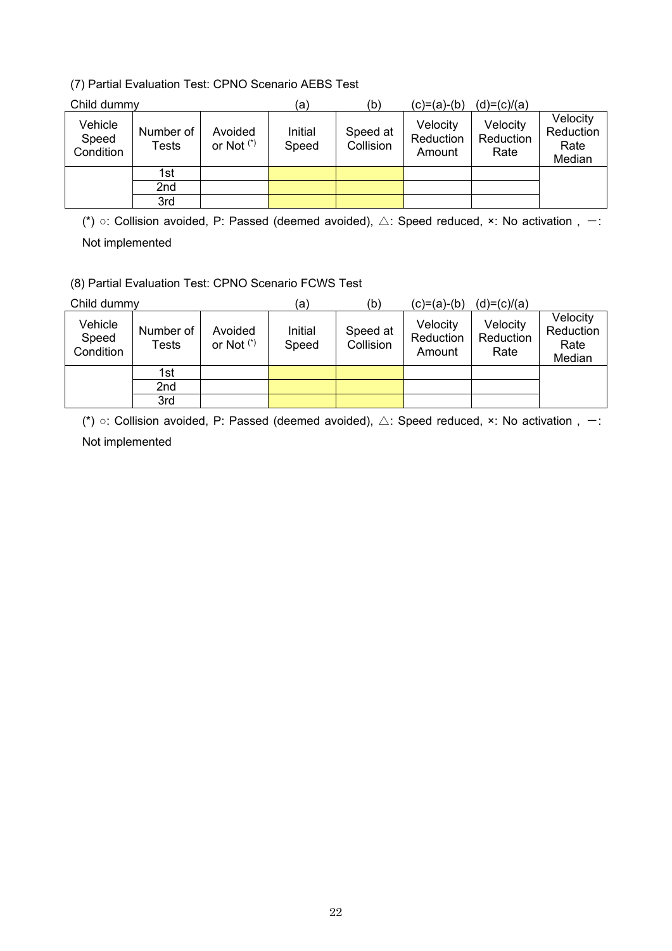# (7) Partial Evaluation Test: CPNO Scenario AEBS Test

| Child dummy                   |                    |                         | (a)              | (b)                   | (c)=(a)-(b)                     | $(d)=(c)/(a)$                 |                                         |
|-------------------------------|--------------------|-------------------------|------------------|-----------------------|---------------------------------|-------------------------------|-----------------------------------------|
| Vehicle<br>Speed<br>Condition | Number of<br>Tests | Avoided<br>or Not $(*)$ | Initial<br>Speed | Speed at<br>Collision | Velocity<br>Reduction<br>Amount | Velocity<br>Reduction<br>Rate | Velocity<br>Reduction<br>Rate<br>Median |
|                               | 1st                |                         |                  |                       |                                 |                               |                                         |
|                               | 2nd                |                         |                  |                       |                                 |                               |                                         |
|                               | 3rd                |                         |                  |                       |                                 |                               |                                         |

(\*)  $\circ$ : Collision avoided, P: Passed (deemed avoided),  $\triangle$ : Speed reduced, ×: No activation, -: Not implemented

(8) Partial Evaluation Test: CPNO Scenario FCWS Test

| Child dummy                   |                    |                         | (a)              | (b)                   | (c)=(a)-(b)                     | $(d)=(c)/(a)$                 |                                         |  |  |  |
|-------------------------------|--------------------|-------------------------|------------------|-----------------------|---------------------------------|-------------------------------|-----------------------------------------|--|--|--|
| Vehicle<br>Speed<br>Condition | Number of<br>Tests | Avoided<br>or Not $(*)$ | Initial<br>Speed | Speed at<br>Collision | Velocity<br>Reduction<br>Amount | Velocity<br>Reduction<br>Rate | Velocity<br>Reduction<br>Rate<br>Median |  |  |  |
|                               | 1st<br>2nd         |                         |                  |                       |                                 |                               |                                         |  |  |  |
|                               | 3rd                |                         |                  |                       |                                 |                               |                                         |  |  |  |

(\*)  $\circ$ : Collision avoided, P: Passed (deemed avoided),  $\triangle$ : Speed reduced, ×: No activation, -: Not implemented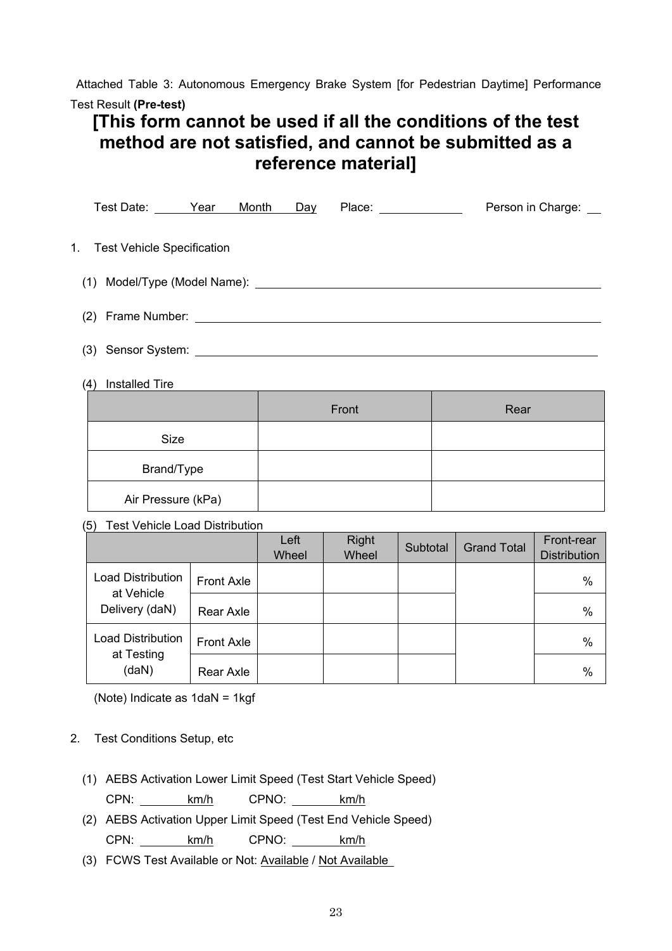Attached Table 3: Autonomous Emergency Brake System [for Pedestrian Daytime] Performance Test Result **(Pre-test)** 

# **[This form cannot be used if all the conditions of the test method are not satisfied, and cannot be submitted as a reference material]**

|     | Test Date: <u>Year Month</u><br>Place: ______________<br>Person in Charge: __<br>Day                                                                                                                                                 |                   |               |                       |          |                    |                                   |  |  |
|-----|--------------------------------------------------------------------------------------------------------------------------------------------------------------------------------------------------------------------------------------|-------------------|---------------|-----------------------|----------|--------------------|-----------------------------------|--|--|
| 1.  | <b>Test Vehicle Specification</b>                                                                                                                                                                                                    |                   |               |                       |          |                    |                                   |  |  |
| (1) |                                                                                                                                                                                                                                      |                   |               |                       |          |                    |                                   |  |  |
| (2) | Frame Number: <u>Andrea Barbara and Barbara and Barbara and Barbara and Barbara and Barbara and Barbara and Barbara and Barbara and Barbara and Barbara and Barbara and Barbara and Barbara and Barbara and Barbara and Barbara </u> |                   |               |                       |          |                    |                                   |  |  |
|     | (3)                                                                                                                                                                                                                                  |                   |               |                       |          |                    |                                   |  |  |
| (4) | <b>Installed Tire</b>                                                                                                                                                                                                                |                   |               |                       |          |                    |                                   |  |  |
|     |                                                                                                                                                                                                                                      |                   |               | Front                 |          | Rear               |                                   |  |  |
|     | Size                                                                                                                                                                                                                                 |                   |               |                       |          |                    |                                   |  |  |
|     | Brand/Type                                                                                                                                                                                                                           |                   |               |                       |          |                    |                                   |  |  |
|     | Air Pressure (kPa)                                                                                                                                                                                                                   |                   |               |                       |          |                    |                                   |  |  |
| (5) | <b>Test Vehicle Load Distribution</b>                                                                                                                                                                                                |                   |               |                       |          |                    |                                   |  |  |
|     |                                                                                                                                                                                                                                      |                   | Left<br>Wheel | <b>Right</b><br>Wheel | Subtotal | <b>Grand Total</b> | Front-rear<br><b>Distribution</b> |  |  |
|     | <b>Load Distribution</b><br>at Vehicle                                                                                                                                                                                               | <b>Front Axle</b> |               |                       |          |                    | $\frac{0}{0}$                     |  |  |
|     | Delivery (daN)                                                                                                                                                                                                                       | <b>Rear Axle</b>  |               |                       |          |                    | %                                 |  |  |

Front Axle **No. 1 (1994)** Special Axle in the Material Section 1 (1994) Material Material Material Material Material Material Material Material Material Material Material Material Material Material Material Material Materi

Rear Axle %

(Note) Indicate as 1daN = 1kgf

# 2. Test Conditions Setup, etc

Load Distribution at Testing (daN)

- (1) AEBS Activation Lower Limit Speed (Test Start Vehicle Speed) CPN: km/h CPNO: km/h
- (2) AEBS Activation Upper Limit Speed (Test End Vehicle Speed) CPN: km/h CPNO: km/h
- (3) FCWS Test Available or Not: Available / Not Available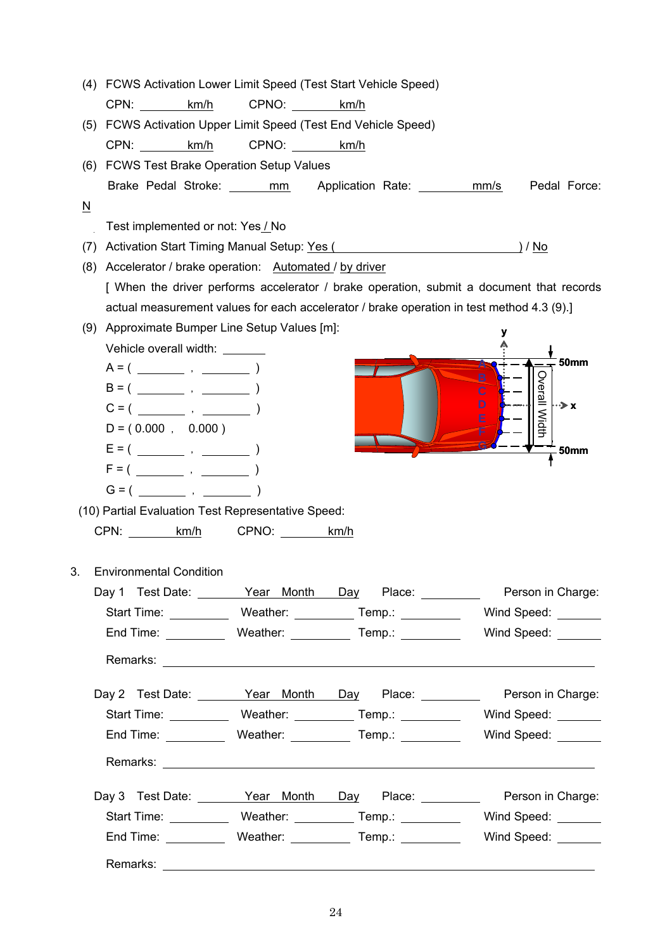| (4)                      | FCWS Activation Lower Limit Speed (Test Start Vehicle Speed)                                                   |            |                                                               |                                                                                            |
|--------------------------|----------------------------------------------------------------------------------------------------------------|------------|---------------------------------------------------------------|--------------------------------------------------------------------------------------------|
|                          | CPN: km/h                                                                                                      | CPNO: km/h |                                                               |                                                                                            |
| (5)                      | FCWS Activation Upper Limit Speed (Test End Vehicle Speed)                                                     |            |                                                               |                                                                                            |
|                          | CPN: km/h                                                                                                      | CPNO: km/h |                                                               |                                                                                            |
| (6)                      | <b>FCWS Test Brake Operation Setup Values</b>                                                                  |            |                                                               |                                                                                            |
|                          |                                                                                                                |            | Brake Pedal Stroke: ______ mm Application Rate: ________ mm/s | Pedal Force:                                                                               |
| $\underline{\mathsf{N}}$ |                                                                                                                |            |                                                               |                                                                                            |
|                          | Test implemented or not: Yes / No                                                                              |            |                                                               |                                                                                            |
| (7)                      | Activation Start Timing Manual Setup: Yes (All Activation Start Timing Manual Setup: Yes (All Activation 2011) |            |                                                               |                                                                                            |
| (8)                      | Accelerator / brake operation: Automated / by driver                                                           |            |                                                               |                                                                                            |
|                          |                                                                                                                |            |                                                               | [ When the driver performs accelerator / brake operation, submit a document that records   |
|                          | actual measurement values for each accelerator / brake operation in test method 4.3 (9).]                      |            |                                                               |                                                                                            |
| (9)                      | Approximate Bumper Line Setup Values [m]:                                                                      |            |                                                               |                                                                                            |
|                          | Vehicle overall width: ______                                                                                  |            |                                                               |                                                                                            |
|                          |                                                                                                                |            | в                                                             | <b>50mm</b>                                                                                |
|                          |                                                                                                                |            | $\overline{c}$                                                | Overall Width                                                                              |
|                          |                                                                                                                |            | D<br>E                                                        | $\rightarrow$ x                                                                            |
|                          | $D = (0.000, 0.000)$                                                                                           |            |                                                               |                                                                                            |
|                          |                                                                                                                |            |                                                               | <b>50mm</b>                                                                                |
|                          |                                                                                                                |            |                                                               |                                                                                            |
|                          |                                                                                                                |            |                                                               |                                                                                            |
|                          | (10) Partial Evaluation Test Representative Speed:                                                             |            |                                                               |                                                                                            |
|                          | CPN: km/h CPNO: km/h                                                                                           |            |                                                               |                                                                                            |
|                          |                                                                                                                |            |                                                               |                                                                                            |
| 3.                       | <b>Environmental Condition</b>                                                                                 |            |                                                               |                                                                                            |
|                          |                                                                                                                |            |                                                               | Day 1 Test Date: <u>Near Month Day</u> Place: Nerson in Charge:                            |
|                          |                                                                                                                |            |                                                               | Start Time: ______________ Weather: ___________ Temp.: ______________ Wind Speed: ________ |
|                          |                                                                                                                |            |                                                               | End Time: ____________ Weather: ____________ Temp.: _____________ Wind Speed: _______      |
|                          |                                                                                                                |            |                                                               |                                                                                            |
|                          |                                                                                                                |            |                                                               |                                                                                            |
|                          |                                                                                                                |            |                                                               | Day 2 Test Date: Year Month Day Place: Prerson in Charge:                                  |
|                          |                                                                                                                |            |                                                               | Start Time: ______________Weather: ___________Temp.: _______________Wind Speed: _______    |
|                          |                                                                                                                |            |                                                               | End Time: _____________ Weather: _____________ Temp.: _______________ Wind Speed: ________ |
|                          |                                                                                                                |            |                                                               |                                                                                            |
|                          |                                                                                                                |            |                                                               |                                                                                            |
|                          |                                                                                                                |            |                                                               | Day 3 Test Date: <u>Vear Month Day</u> Place: Nerson in Charge:                            |
|                          |                                                                                                                |            |                                                               | Start Time: _____________ Weather: ___________ Temp.: ______________ Wind Speed: _______   |
|                          |                                                                                                                |            |                                                               |                                                                                            |
|                          |                                                                                                                |            |                                                               |                                                                                            |
|                          |                                                                                                                |            |                                                               |                                                                                            |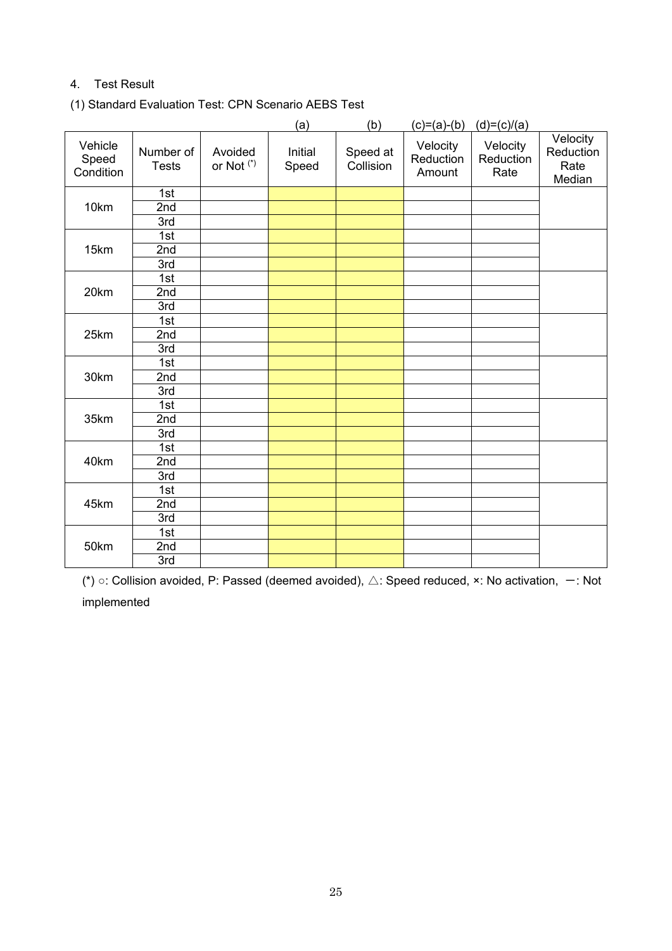# 4. Test Result

(1) Standard Evaluation Test: CPN Scenario AEBS Test

|                               |                           |                                  | (a)              | (b)                   | $(c)=(a)-(b)$                   | $(d)=(c)/(a)$                 |                                         |
|-------------------------------|---------------------------|----------------------------------|------------------|-----------------------|---------------------------------|-------------------------------|-----------------------------------------|
| Vehicle<br>Speed<br>Condition | Number of<br><b>Tests</b> | Avoided<br>or Not <sup>(*)</sup> | Initial<br>Speed | Speed at<br>Collision | Velocity<br>Reduction<br>Amount | Velocity<br>Reduction<br>Rate | Velocity<br>Reduction<br>Rate<br>Median |
|                               | 1st                       |                                  |                  |                       |                                 |                               |                                         |
| 10km                          | 2nd                       |                                  |                  |                       |                                 |                               |                                         |
|                               | 3rd                       |                                  |                  |                       |                                 |                               |                                         |
|                               | 1st                       |                                  |                  |                       |                                 |                               |                                         |
| 15km                          | 2nd                       |                                  |                  |                       |                                 |                               |                                         |
|                               | 3rd                       |                                  |                  |                       |                                 |                               |                                         |
|                               | 1st                       |                                  |                  |                       |                                 |                               |                                         |
| 20km                          | 2nd                       |                                  |                  |                       |                                 |                               |                                         |
|                               | 3rd                       |                                  |                  |                       |                                 |                               |                                         |
|                               | 1st                       |                                  |                  |                       |                                 |                               |                                         |
| 25km                          | 2nd                       |                                  |                  |                       |                                 |                               |                                         |
|                               | 3rd                       |                                  |                  |                       |                                 |                               |                                         |
|                               | 1st                       |                                  |                  |                       |                                 |                               |                                         |
| 30km                          | 2nd                       |                                  |                  |                       |                                 |                               |                                         |
|                               | 3rd                       |                                  |                  |                       |                                 |                               |                                         |
|                               | 1st                       |                                  |                  |                       |                                 |                               |                                         |
| 35km                          | 2nd                       |                                  |                  |                       |                                 |                               |                                         |
|                               | 3rd                       |                                  |                  |                       |                                 |                               |                                         |
|                               | 1st                       |                                  |                  |                       |                                 |                               |                                         |
| 40km                          | 2nd                       |                                  |                  |                       |                                 |                               |                                         |
|                               | 3rd                       |                                  |                  |                       |                                 |                               |                                         |
|                               | 1st                       |                                  |                  |                       |                                 |                               |                                         |
| 45km                          | 2nd                       |                                  |                  |                       |                                 |                               |                                         |
|                               | 3rd                       |                                  |                  |                       |                                 |                               |                                         |
|                               | 1st                       |                                  |                  |                       |                                 |                               |                                         |
| 50km                          | 2nd                       |                                  |                  |                       |                                 |                               |                                         |
|                               | 3rd                       |                                  |                  |                       |                                 |                               |                                         |

(\*) ○: Collision avoided, P: Passed (deemed avoided),  $\triangle$ : Speed reduced, ×: No activation,  $-$ : Not implemented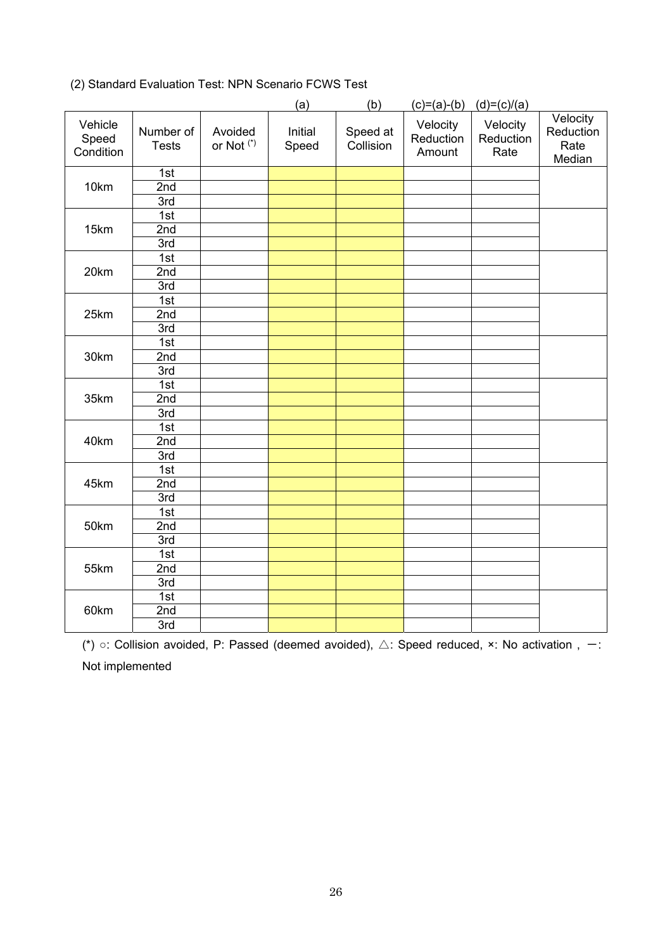|                               |                           |                                  | (a)              | (b)                   | $(c)=(a)-(b)$                   | $(d)=(c)/(a)$                 |                                         |
|-------------------------------|---------------------------|----------------------------------|------------------|-----------------------|---------------------------------|-------------------------------|-----------------------------------------|
| Vehicle<br>Speed<br>Condition | Number of<br><b>Tests</b> | Avoided<br>or Not <sup>(*)</sup> | Initial<br>Speed | Speed at<br>Collision | Velocity<br>Reduction<br>Amount | Velocity<br>Reduction<br>Rate | Velocity<br>Reduction<br>Rate<br>Median |
|                               | 1st                       |                                  |                  |                       |                                 |                               |                                         |
| 10km                          | 2nd                       |                                  |                  |                       |                                 |                               |                                         |
|                               | 3rd                       |                                  |                  |                       |                                 |                               |                                         |
|                               | 1st                       |                                  |                  |                       |                                 |                               |                                         |
| 15km                          | 2nd                       |                                  |                  |                       |                                 |                               |                                         |
|                               | 3rd                       |                                  |                  |                       |                                 |                               |                                         |
|                               | 1st                       |                                  |                  |                       |                                 |                               |                                         |
| 20km                          | 2nd                       |                                  |                  |                       |                                 |                               |                                         |
|                               | 3rd                       |                                  |                  |                       |                                 |                               |                                         |
|                               | 1st                       |                                  |                  |                       |                                 |                               |                                         |
| 25km                          | 2nd                       |                                  |                  |                       |                                 |                               |                                         |
|                               | 3rd                       |                                  |                  |                       |                                 |                               |                                         |
|                               | 1st                       |                                  |                  |                       |                                 |                               |                                         |
| 30km                          | 2nd                       |                                  |                  |                       |                                 |                               |                                         |
|                               | 3rd                       |                                  |                  |                       |                                 |                               |                                         |
|                               | 1st                       |                                  |                  |                       |                                 |                               |                                         |
| 35km                          | 2nd                       |                                  |                  |                       |                                 |                               |                                         |
|                               | 3rd                       |                                  |                  |                       |                                 |                               |                                         |
|                               | 1st                       |                                  |                  |                       |                                 |                               |                                         |
| 40km                          | $\overline{2nd}$          |                                  |                  |                       |                                 |                               |                                         |
|                               | 3rd                       |                                  |                  |                       |                                 |                               |                                         |
|                               | 1st                       |                                  |                  |                       |                                 |                               |                                         |
| 45km                          | 2nd                       |                                  |                  |                       |                                 |                               |                                         |
|                               | 3rd                       |                                  |                  |                       |                                 |                               |                                         |
|                               | 1st                       |                                  |                  |                       |                                 |                               |                                         |
| 50km                          | 2nd                       |                                  |                  |                       |                                 |                               |                                         |
|                               | 3rd                       |                                  |                  |                       |                                 |                               |                                         |
|                               | 1st                       |                                  |                  |                       |                                 |                               |                                         |
| 55km                          | 2nd                       |                                  |                  |                       |                                 |                               |                                         |
|                               | 3rd                       |                                  |                  |                       |                                 |                               |                                         |
|                               | 1st                       |                                  |                  |                       |                                 |                               |                                         |
| 60km                          | 2nd                       |                                  |                  |                       |                                 |                               |                                         |
|                               | 3rd                       |                                  |                  |                       |                                 |                               |                                         |

# (2) Standard Evaluation Test: NPN Scenario FCWS Test

(\*)  $\circ$ : Collision avoided, P: Passed (deemed avoided),  $\triangle$ : Speed reduced,  $\times$ : No activation , -: Not implemented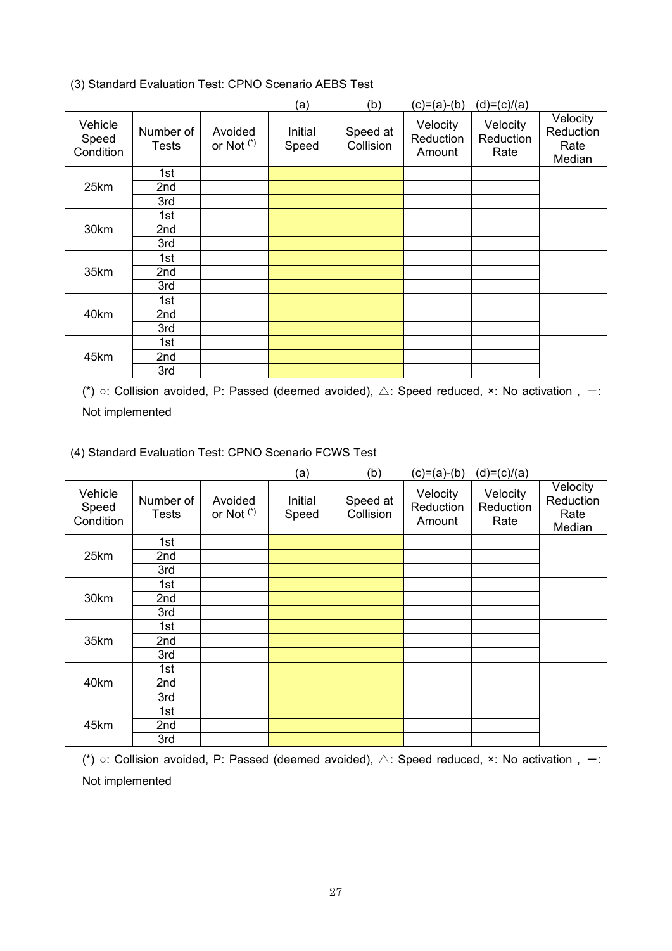(3) Standard Evaluation Test: CPNO Scenario AEBS Test

|                               |                           |                                  | (a)              | (b)                   | $(c)=(a)-(b)$                   | $(d)=(c)/(a)$                 |                                         |
|-------------------------------|---------------------------|----------------------------------|------------------|-----------------------|---------------------------------|-------------------------------|-----------------------------------------|
| Vehicle<br>Speed<br>Condition | Number of<br><b>Tests</b> | Avoided<br>or Not <sup>(*)</sup> | Initial<br>Speed | Speed at<br>Collision | Velocity<br>Reduction<br>Amount | Velocity<br>Reduction<br>Rate | Velocity<br>Reduction<br>Rate<br>Median |
|                               | 1st                       |                                  |                  |                       |                                 |                               |                                         |
| 25km                          | 2nd                       |                                  |                  |                       |                                 |                               |                                         |
|                               | 3rd                       |                                  |                  |                       |                                 |                               |                                         |
|                               | 1st                       |                                  |                  |                       |                                 |                               |                                         |
| 30km                          | 2nd                       |                                  |                  |                       |                                 |                               |                                         |
|                               | 3rd                       |                                  |                  |                       |                                 |                               |                                         |
|                               | 1st                       |                                  |                  |                       |                                 |                               |                                         |
| 35km                          | 2nd                       |                                  |                  |                       |                                 |                               |                                         |
|                               | 3rd                       |                                  |                  |                       |                                 |                               |                                         |
|                               | 1st                       |                                  |                  |                       |                                 |                               |                                         |
| 40km                          | 2nd                       |                                  |                  |                       |                                 |                               |                                         |
|                               | 3rd                       |                                  |                  |                       |                                 |                               |                                         |
|                               | 1st                       |                                  |                  |                       |                                 |                               |                                         |
| 45km                          | 2nd                       |                                  |                  |                       |                                 |                               |                                         |
|                               | 3rd                       |                                  |                  |                       |                                 |                               |                                         |

(\*)  $\circ$ : Collision avoided, P: Passed (deemed avoided),  $\triangle$ : Speed reduced, ×: No activation, -: Not implemented

(4) Standard Evaluation Test: CPNO Scenario FCWS Test

|                               |                           |                                  | (a)              | (b)                   | $(c)=(a)-(b)$                   | $(d)=(c)/(a)$                 |                                         |
|-------------------------------|---------------------------|----------------------------------|------------------|-----------------------|---------------------------------|-------------------------------|-----------------------------------------|
| Vehicle<br>Speed<br>Condition | Number of<br><b>Tests</b> | Avoided<br>or Not <sup>(*)</sup> | Initial<br>Speed | Speed at<br>Collision | Velocity<br>Reduction<br>Amount | Velocity<br>Reduction<br>Rate | Velocity<br>Reduction<br>Rate<br>Median |
|                               | 1st                       |                                  |                  |                       |                                 |                               |                                         |
| 25km                          | 2nd                       |                                  |                  |                       |                                 |                               |                                         |
|                               | 3rd                       |                                  |                  |                       |                                 |                               |                                         |
|                               | 1st                       |                                  |                  |                       |                                 |                               |                                         |
| 30km                          | 2nd                       |                                  |                  |                       |                                 |                               |                                         |
|                               | 3rd                       |                                  |                  |                       |                                 |                               |                                         |
|                               | 1st                       |                                  |                  |                       |                                 |                               |                                         |
| 35km                          | 2nd                       |                                  |                  |                       |                                 |                               |                                         |
|                               | 3rd                       |                                  |                  |                       |                                 |                               |                                         |
|                               | 1st                       |                                  |                  |                       |                                 |                               |                                         |
| 40km                          | 2nd                       |                                  |                  |                       |                                 |                               |                                         |
|                               | 3rd                       |                                  |                  |                       |                                 |                               |                                         |
|                               | 1st                       |                                  |                  |                       |                                 |                               |                                         |
| 45km                          | 2nd                       |                                  |                  |                       |                                 |                               |                                         |
|                               | 3rd                       |                                  |                  |                       |                                 |                               |                                         |

(\*)  $\circ$ : Collision avoided, P: Passed (deemed avoided),  $\triangle$ : Speed reduced, ×: No activation, -: Not implemented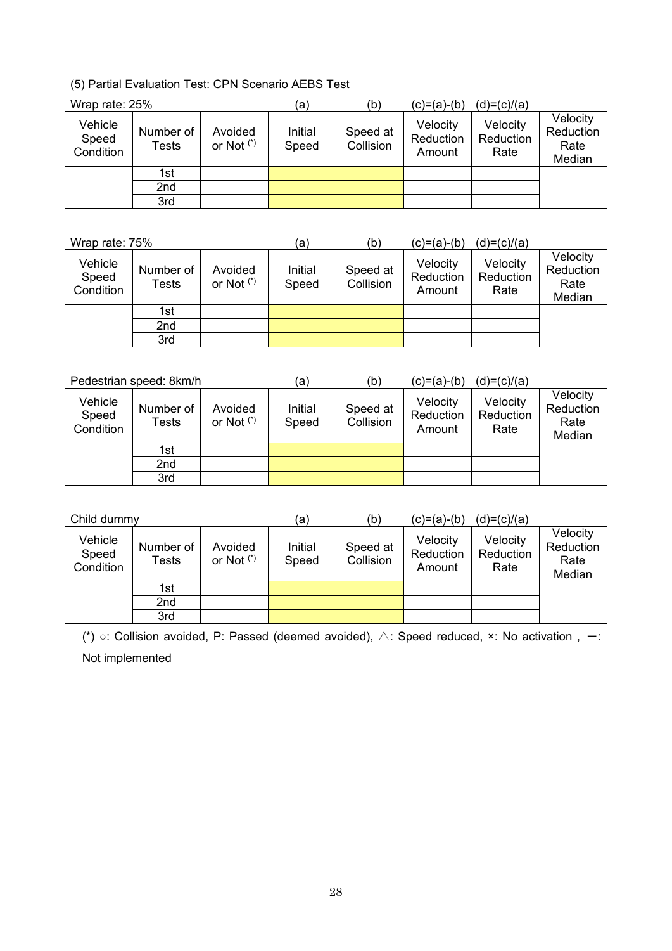(5) Partial Evaluation Test: CPN Scenario AEBS Test

| Wrap rate: 25%                |                    |                         | (a)              | (b)                   | (c)=(a)-(b)                     | $(d)=(c)/(a)$                 |                                         |
|-------------------------------|--------------------|-------------------------|------------------|-----------------------|---------------------------------|-------------------------------|-----------------------------------------|
| Vehicle<br>Speed<br>Condition | Number of<br>Tests | Avoided<br>or Not $(*)$ | Initial<br>Speed | Speed at<br>Collision | Velocity<br>Reduction<br>Amount | Velocity<br>Reduction<br>Rate | Velocity<br>Reduction<br>Rate<br>Median |
|                               | 1st                |                         |                  |                       |                                 |                               |                                         |
|                               | 2nd                |                         |                  |                       |                                 |                               |                                         |
|                               | 3rd                |                         |                  |                       |                                 |                               |                                         |

| Wrap rate: 75%                |                    |                         | (a)              | (b)                   | (c)=(a)-(b)                     | $(d)=(c)/(a)$                 |                                         |
|-------------------------------|--------------------|-------------------------|------------------|-----------------------|---------------------------------|-------------------------------|-----------------------------------------|
| Vehicle<br>Speed<br>Condition | Number of<br>Tests | Avoided<br>or Not $(*)$ | Initial<br>Speed | Speed at<br>Collision | Velocity<br>Reduction<br>Amount | Velocity<br>Reduction<br>Rate | Velocity<br>Reduction<br>Rate<br>Median |
|                               | 1st                |                         |                  |                       |                                 |                               |                                         |
|                               | 2nd                |                         |                  |                       |                                 |                               |                                         |
|                               | 3rd                |                         |                  |                       |                                 |                               |                                         |

| Pedestrian speed: 8km/h       |                    |                         | (a)              | (b)                   | $(c)=(a)-(b)$                   | $(d)=(c)/(a)$                 |                                         |
|-------------------------------|--------------------|-------------------------|------------------|-----------------------|---------------------------------|-------------------------------|-----------------------------------------|
| Vehicle<br>Speed<br>Condition | Number of<br>Tests | Avoided<br>or Not $(*)$ | Initial<br>Speed | Speed at<br>Collision | Velocity<br>Reduction<br>Amount | Velocity<br>Reduction<br>Rate | Velocity<br>Reduction<br>Rate<br>Median |
|                               | 1st                |                         |                  |                       |                                 |                               |                                         |
|                               | 2nd                |                         |                  |                       |                                 |                               |                                         |
|                               | 3rd                |                         |                  |                       |                                 |                               |                                         |

| Child dummy                   |                    |                         | (a)              | (b)                   | $(c)=(a)-(b)$                   | $(d)=(c)/(a)$                 |                                         |
|-------------------------------|--------------------|-------------------------|------------------|-----------------------|---------------------------------|-------------------------------|-----------------------------------------|
| Vehicle<br>Speed<br>Condition | Number of<br>Tests | Avoided<br>or Not $(*)$ | Initial<br>Speed | Speed at<br>Collision | Velocity<br>Reduction<br>Amount | Velocity<br>Reduction<br>Rate | Velocity<br>Reduction<br>Rate<br>Median |
|                               | 1st                |                         |                  |                       |                                 |                               |                                         |
|                               | 2nd                |                         |                  |                       |                                 |                               |                                         |
|                               | 3rd                |                         |                  |                       |                                 |                               |                                         |

(\*)  $\circ$ : Collision avoided, P: Passed (deemed avoided),  $\triangle$ : Speed reduced, ×: No activation, -: Not implemented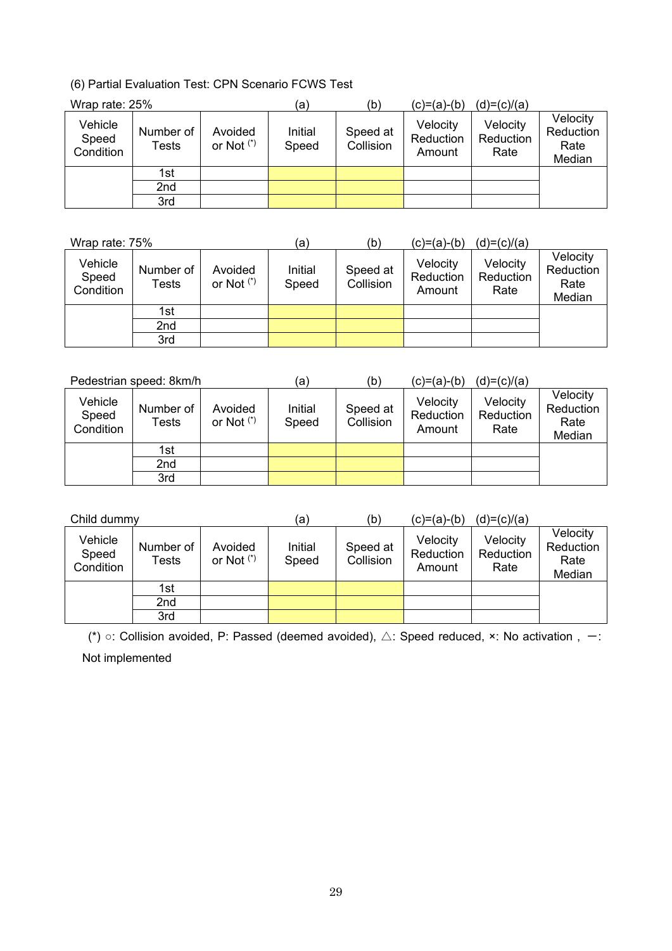(6) Partial Evaluation Test: CPN Scenario FCWS Test

| Wrap rate: 25%                |                    |                         | (a)              | (b)                   | (c)=(a)-(b)                     | $(d)=(c)/(a)$                 |                                         |
|-------------------------------|--------------------|-------------------------|------------------|-----------------------|---------------------------------|-------------------------------|-----------------------------------------|
| Vehicle<br>Speed<br>Condition | Number of<br>Tests | Avoided<br>or Not $(*)$ | Initial<br>Speed | Speed at<br>Collision | Velocity<br>Reduction<br>Amount | Velocity<br>Reduction<br>Rate | Velocity<br>Reduction<br>Rate<br>Median |
|                               | 1st                |                         |                  |                       |                                 |                               |                                         |
|                               | 2nd                |                         |                  |                       |                                 |                               |                                         |
|                               | 3rd                |                         |                  |                       |                                 |                               |                                         |

| Wrap rate: 75%                |                    |                         | (a)              | (b)                   | (c)=(a)-(b)                     | $(d)=(c)/(a)$                 |                                         |
|-------------------------------|--------------------|-------------------------|------------------|-----------------------|---------------------------------|-------------------------------|-----------------------------------------|
| Vehicle<br>Speed<br>Condition | Number of<br>Tests | Avoided<br>or Not $(*)$ | Initial<br>Speed | Speed at<br>Collision | Velocity<br>Reduction<br>Amount | Velocity<br>Reduction<br>Rate | Velocity<br>Reduction<br>Rate<br>Median |
|                               | 1st                |                         |                  |                       |                                 |                               |                                         |
|                               | 2nd                |                         |                  |                       |                                 |                               |                                         |
|                               | 3rd                |                         |                  |                       |                                 |                               |                                         |

| Pedestrian speed: 8km/h       |                    |                         | (a)              | (b)                   | (c)=(a)-(b)                     | $(d)=(c)/(a)$                 |                                         |
|-------------------------------|--------------------|-------------------------|------------------|-----------------------|---------------------------------|-------------------------------|-----------------------------------------|
| Vehicle<br>Speed<br>Condition | Number of<br>Tests | Avoided<br>or Not $(*)$ | Initial<br>Speed | Speed at<br>Collision | Velocity<br>Reduction<br>Amount | Velocity<br>Reduction<br>Rate | Velocity<br>Reduction<br>Rate<br>Median |
|                               | 1st                |                         |                  |                       |                                 |                               |                                         |
|                               | 2nd                |                         |                  |                       |                                 |                               |                                         |
|                               | 3rd                |                         |                  |                       |                                 |                               |                                         |

| Child dummy                   |                    |                         | (a)              | (b)                   | $(c)=(a)-(b)$                   | $(d)=(c)/(a)$                 |                                         |
|-------------------------------|--------------------|-------------------------|------------------|-----------------------|---------------------------------|-------------------------------|-----------------------------------------|
| Vehicle<br>Speed<br>Condition | Number of<br>Tests | Avoided<br>or Not $(*)$ | Initial<br>Speed | Speed at<br>Collision | Velocity<br>Reduction<br>Amount | Velocity<br>Reduction<br>Rate | Velocity<br>Reduction<br>Rate<br>Median |
|                               | 1st                |                         |                  |                       |                                 |                               |                                         |
|                               | 2nd                |                         |                  |                       |                                 |                               |                                         |
|                               | 3rd                |                         |                  |                       |                                 |                               |                                         |

(\*)  $\circ$ : Collision avoided, P: Passed (deemed avoided),  $\triangle$ : Speed reduced,  $\times$ : No activation,  $-$ : Not implemented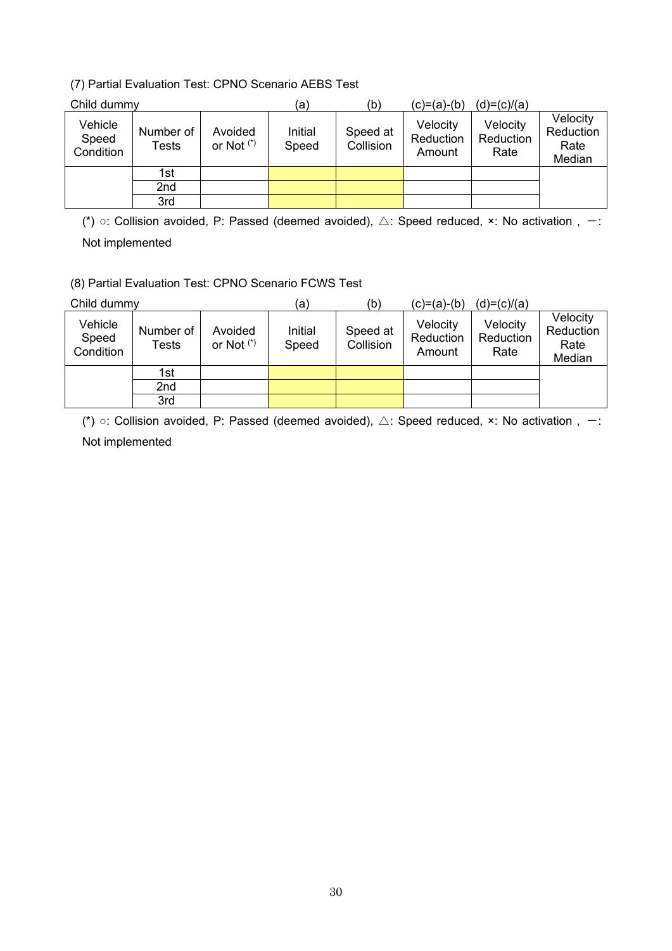# (7) Partial Evaluation Test: CPNO Scenario AEBS Test

| Child dummy                   |                    |                         | (a)              | (b)                   | (c)=(a)-(b)                     | $(d)=(c)/(a)$                 |                                         |
|-------------------------------|--------------------|-------------------------|------------------|-----------------------|---------------------------------|-------------------------------|-----------------------------------------|
| Vehicle<br>Speed<br>Condition | Number of<br>Tests | Avoided<br>or Not $(*)$ | Initial<br>Speed | Speed at<br>Collision | Velocity<br>Reduction<br>Amount | Velocity<br>Reduction<br>Rate | Velocity<br>Reduction<br>Rate<br>Median |
|                               | 1st                |                         |                  |                       |                                 |                               |                                         |
|                               | 2nd                |                         |                  |                       |                                 |                               |                                         |
|                               | 3rd                |                         |                  |                       |                                 |                               |                                         |

(\*)  $\circ$ : Collision avoided, P: Passed (deemed avoided),  $\triangle$ : Speed reduced, x: No activation, -: Not implemented

(8) Partial Evaluation Test: CPNO Scenario FCWS Test

| Child dummy                   |                    |                         | (a,              | (b)                   | $(c)=(a)-(b)$                   | $(d)=(c)/(a)$                 |                                         |
|-------------------------------|--------------------|-------------------------|------------------|-----------------------|---------------------------------|-------------------------------|-----------------------------------------|
| Vehicle<br>Speed<br>Condition | Number of<br>Tests | Avoided<br>or Not $(*)$ | Initial<br>Speed | Speed at<br>Collision | Velocity<br>Reduction<br>Amount | Velocity<br>Reduction<br>Rate | Velocity<br>Reduction<br>Rate<br>Median |
|                               | 1st                |                         |                  |                       |                                 |                               |                                         |
|                               | 2nd                |                         |                  |                       |                                 |                               |                                         |
|                               | 3rd                |                         |                  |                       |                                 |                               |                                         |

(\*)  $\circ$ : Collision avoided, P: Passed (deemed avoided),  $\triangle$ : Speed reduced, ×: No activation, -: Not implemented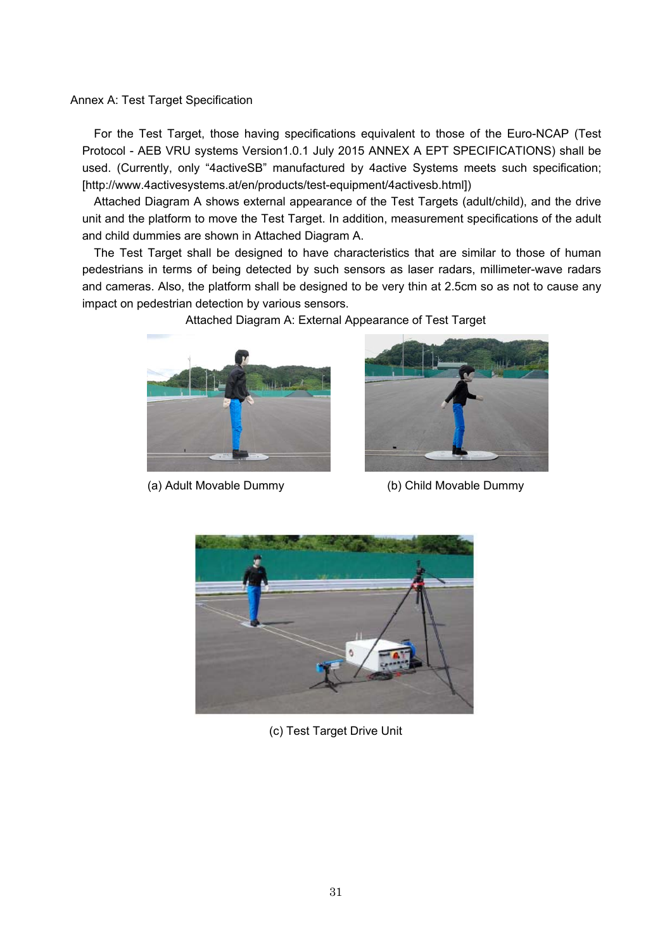Annex A: Test Target Specification

For the Test Target, those having specifications equivalent to those of the Euro-NCAP (Test Protocol - AEB VRU systems Version1.0.1 July 2015 ANNEX A EPT SPECIFICATIONS) shall be used. (Currently, only "4activeSB" manufactured by 4active Systems meets such specification; [http://www.4activesystems.at/en/products/test-equipment/4activesb.html])

Attached Diagram A shows external appearance of the Test Targets (adult/child), and the drive unit and the platform to move the Test Target. In addition, measurement specifications of the adult and child dummies are shown in Attached Diagram A.

The Test Target shall be designed to have characteristics that are similar to those of human pedestrians in terms of being detected by such sensors as laser radars, millimeter-wave radars and cameras. Also, the platform shall be designed to be very thin at 2.5cm so as not to cause any impact on pedestrian detection by various sensors.

Attached Diagram A: External Appearance of Test Target



(a) Adult Movable Dummy (b) Child Movable Dummy





(c) Test Target Drive Unit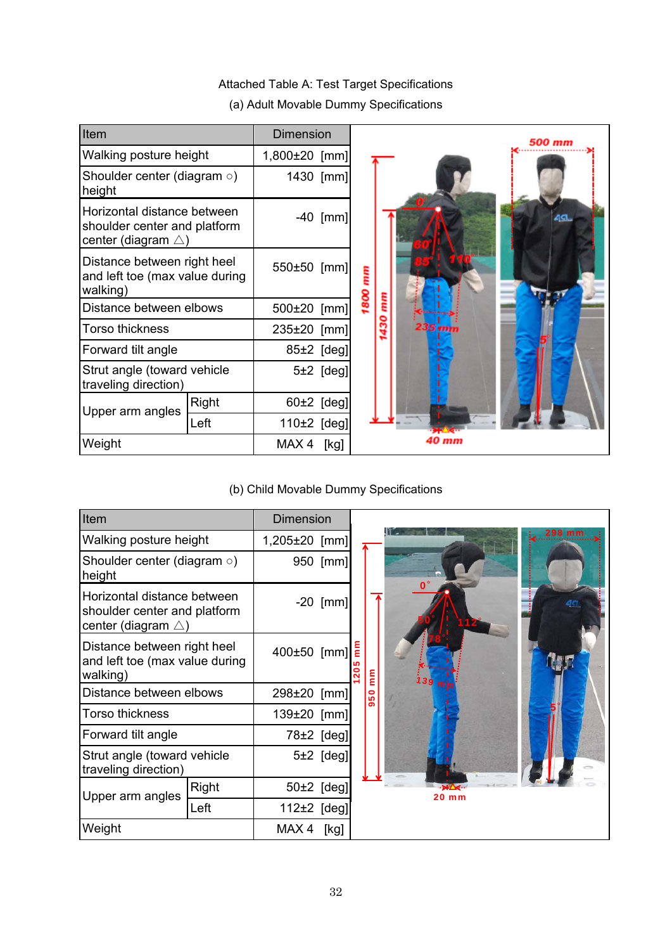#### Item **Dimension 500 mm** Walking posture height | 1,800±20 [mm] Shoulder center (diagram ○) 1430 [mm] height Horizontal distance between -40 [mm] shoulder center and platform center (diagram  $\triangle$ ) Distance between right heel 550±50 [mm] 1800 mm and left toe (max value during walking) 1430 mm Distance between elbows | 500±20 [mm] Torso thickness and a 235±20 [mm] Forward tilt angle **1998** and tilt angle **1997** and tilt Strut angle (toward vehicle 5±2 [deg] traveling direction) Upper arm angles  $\begin{array}{|l|l|}\n\hline\n\text{Right} & 60 \pm 2 & \text{[deg]}\n\hline\n\text{Left} & 110 \pm 2 & \text{[deg]}\n\hline\n\end{array}$ 110 $±2$  [deg] **40 mm** Weight **MAX 4** [kg]

# Attached Table A: Test Target Specifications

(a) Adult Movable Dummy Specifications

# (b) Child Movable Dummy Specifications

| Item                                                                                         |       | <b>Dimension</b> |              |    |          |                      |               |
|----------------------------------------------------------------------------------------------|-------|------------------|--------------|----|----------|----------------------|---------------|
| Walking posture height                                                                       |       | 1,205±20 [mm]    |              | ನಿ | E<br>950 | $\mathbf{O}^{\circ}$ | <b>298 mm</b> |
| Shoulder center (diagram $\circ$ )<br>height                                                 |       |                  | 950 [mm]     |    |          |                      |               |
| Horizontal distance between<br>shoulder center and platform<br>center (diagram $\triangle$ ) |       |                  | $-20$ [mm]   |    |          |                      |               |
| Distance between right heel<br>and left toe (max value during<br>walking)                    |       | 400±50 [mm]      |              |    |          |                      |               |
| Distance between elbows                                                                      |       | 298±20 [mm]      |              |    |          |                      |               |
| <b>Torso thickness</b>                                                                       |       |                  | 139±20 [mm]  |    |          |                      |               |
| Forward tilt angle                                                                           |       |                  | 78±2 [deg]   |    |          |                      |               |
| Strut angle (toward vehicle<br>traveling direction)                                          |       |                  | $5±2$ [deg]  |    |          |                      |               |
| Upper arm angles                                                                             | Right |                  | $50±2$ [deg] |    |          | 20 mm                |               |
|                                                                                              | Left  | 112±2 [deg]      |              |    |          |                      |               |
| Weight                                                                                       |       | MAX4             | [kg]         |    |          |                      |               |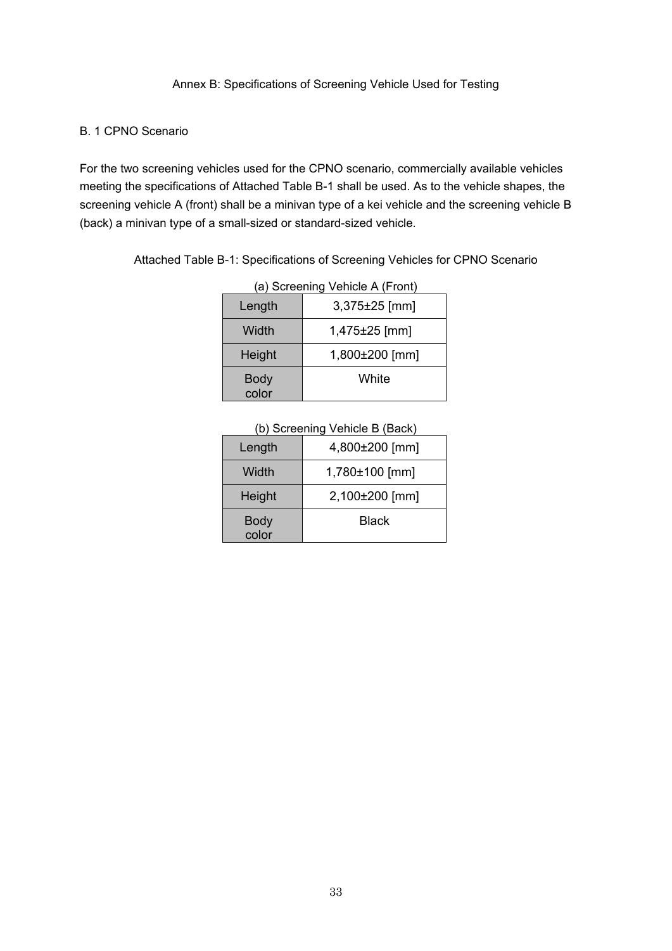## B. 1 CPNO Scenario

For the two screening vehicles used for the CPNO scenario, commercially available vehicles meeting the specifications of Attached Table B-1 shall be used. As to the vehicle shapes, the screening vehicle A (front) shall be a minivan type of a kei vehicle and the screening vehicle B (back) a minivan type of a small-sized or standard-sized vehicle.

| (a) Screening Vehicle A (Front) |                   |  |  |  |  |
|---------------------------------|-------------------|--|--|--|--|
| Length                          | 3,375±25 [mm]     |  |  |  |  |
| Width                           | $1,475\pm25$ [mm] |  |  |  |  |
| Height                          | 1,800±200 [mm]    |  |  |  |  |
| <b>Body</b><br>color            | White             |  |  |  |  |

|  | Attached Table B-1: Specifications of Screening Vehicles for CPNO Scenario |  |  |
|--|----------------------------------------------------------------------------|--|--|

| (b) Screening Venicle B (Back) |                |  |  |  |
|--------------------------------|----------------|--|--|--|
| Length                         | 4,800±200 [mm] |  |  |  |
| Width                          | 1,780±100 [mm] |  |  |  |
| Height                         | 2,100±200 [mm] |  |  |  |
| <b>Body</b><br>color           | <b>Black</b>   |  |  |  |

# (b) Screening Vehicle B (Back)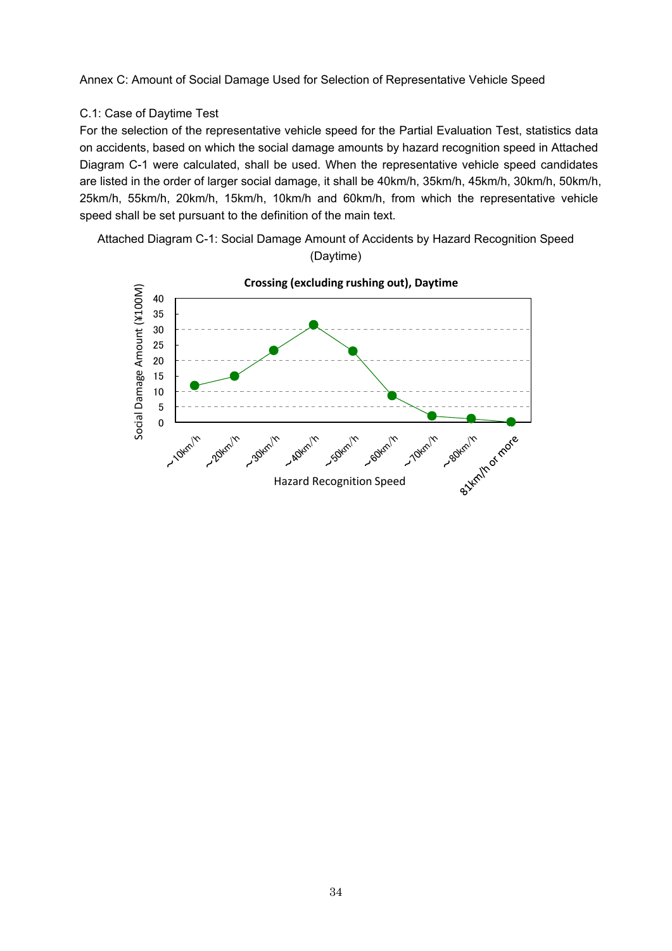Annex C: Amount of Social Damage Used for Selection of Representative Vehicle Speed

## C.1: Case of Daytime Test

For the selection of the representative vehicle speed for the Partial Evaluation Test, statistics data on accidents, based on which the social damage amounts by hazard recognition speed in Attached Diagram C-1 were calculated, shall be used. When the representative vehicle speed candidates are listed in the order of larger social damage, it shall be 40km/h, 35km/h, 45km/h, 30km/h, 50km/h, 25km/h, 55km/h, 20km/h, 15km/h, 10km/h and 60km/h, from which the representative vehicle speed shall be set pursuant to the definition of the main text.

Attached Diagram C-1: Social Damage Amount of Accidents by Hazard Recognition Speed (Daytime)

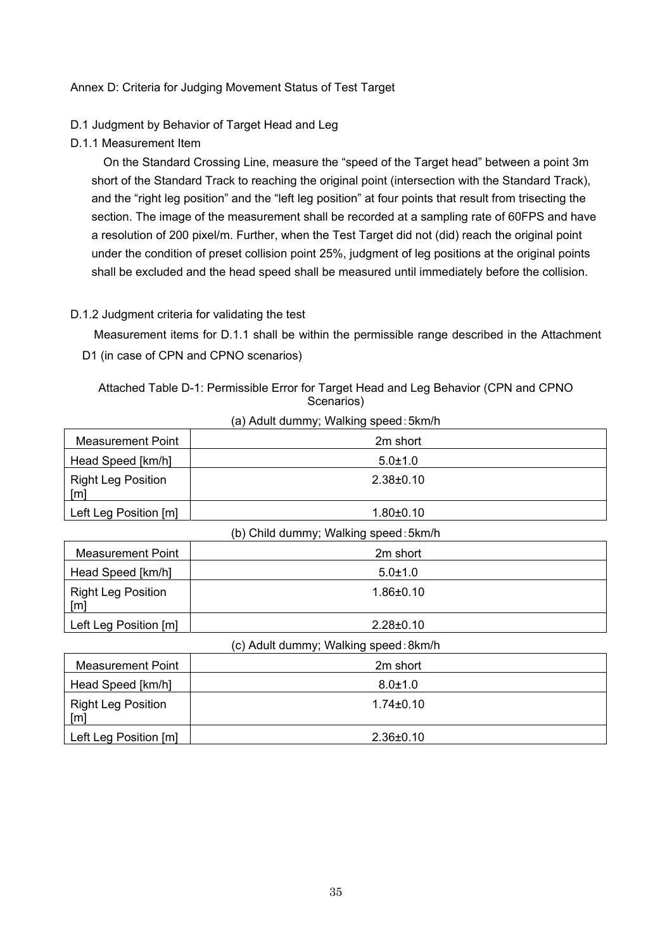## Annex D: Criteria for Judging Movement Status of Test Target

## D.1 Judgment by Behavior of Target Head and Leg

D.1.1 Measurement Item

On the Standard Crossing Line, measure the "speed of the Target head" between a point 3m short of the Standard Track to reaching the original point (intersection with the Standard Track), and the "right leg position" and the "left leg position" at four points that result from trisecting the section. The image of the measurement shall be recorded at a sampling rate of 60FPS and have a resolution of 200 pixel/m. Further, when the Test Target did not (did) reach the original point under the condition of preset collision point 25%, judgment of leg positions at the original points shall be excluded and the head speed shall be measured until immediately before the collision.

## D.1.2 Judgment criteria for validating the test

Measurement items for D.1.1 shall be within the permissible range described in the Attachment D1 (in case of CPN and CPNO scenarios)

# Attached Table D-1: Permissible Error for Target Head and Leg Behavior (CPN and CPNO Scenarios)

| Measurement Point                              | 2m short        |
|------------------------------------------------|-----------------|
| Head Speed [km/h]                              | $5.0 \pm 1.0$   |
| <b>Right Leg Position</b><br>$\lceil m \rceil$ | $2.38 \pm 0.10$ |
| Left Leg Position [m]                          | $1.80 \pm 0.10$ |

(a) Adult dummy; Walking speed:5km/h

| (b) Child dummy; Walking speed: 5km/h       |                 |  |  |  |  |
|---------------------------------------------|-----------------|--|--|--|--|
| Measurement Point                           | 2m short        |  |  |  |  |
| Head Speed [km/h]                           | $5.0 \pm 1.0$   |  |  |  |  |
| <b>Right Leg Position</b><br>$\mathsf{[m]}$ | $1.86 \pm 0.10$ |  |  |  |  |
| Left Leg Position [m]                       | $2.28 \pm 0.10$ |  |  |  |  |

(c) Adult dummy; Walking speed:8km/h

| Measurement Point                              | 2m short        |
|------------------------------------------------|-----------------|
| Head Speed [km/h]                              | $8.0 \pm 1.0$   |
| <b>Right Leg Position</b><br>$\lceil m \rceil$ | $1.74 \pm 0.10$ |
| Left Leg Position [m]                          | $2.36 \pm 0.10$ |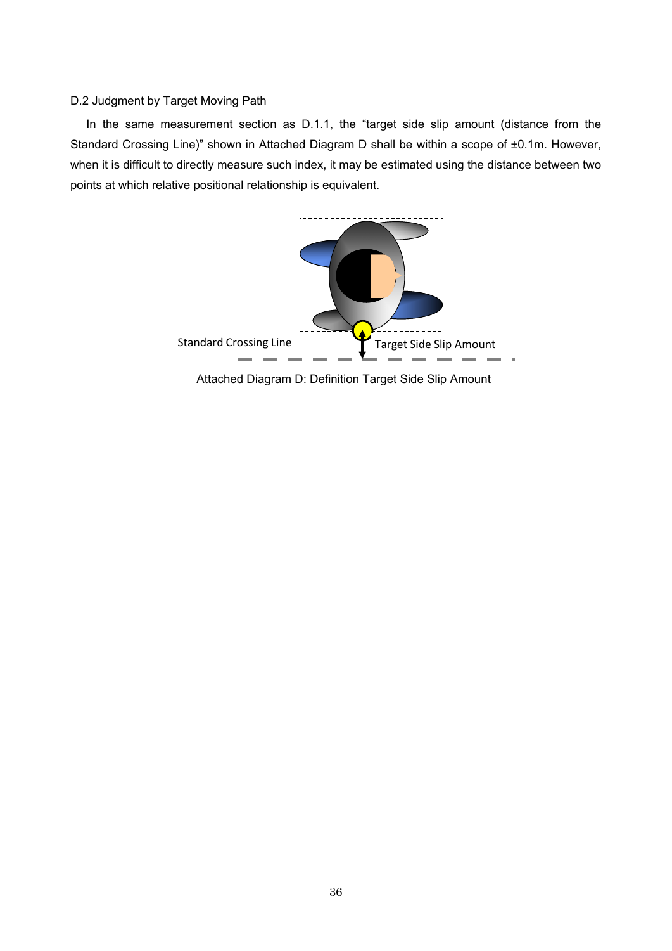### D.2 Judgment by Target Moving Path

In the same measurement section as D.1.1, the "target side slip amount (distance from the Standard Crossing Line)" shown in Attached Diagram D shall be within a scope of ±0.1m. However, when it is difficult to directly measure such index, it may be estimated using the distance between two points at which relative positional relationship is equivalent.



Attached Diagram D: Definition Target Side Slip Amount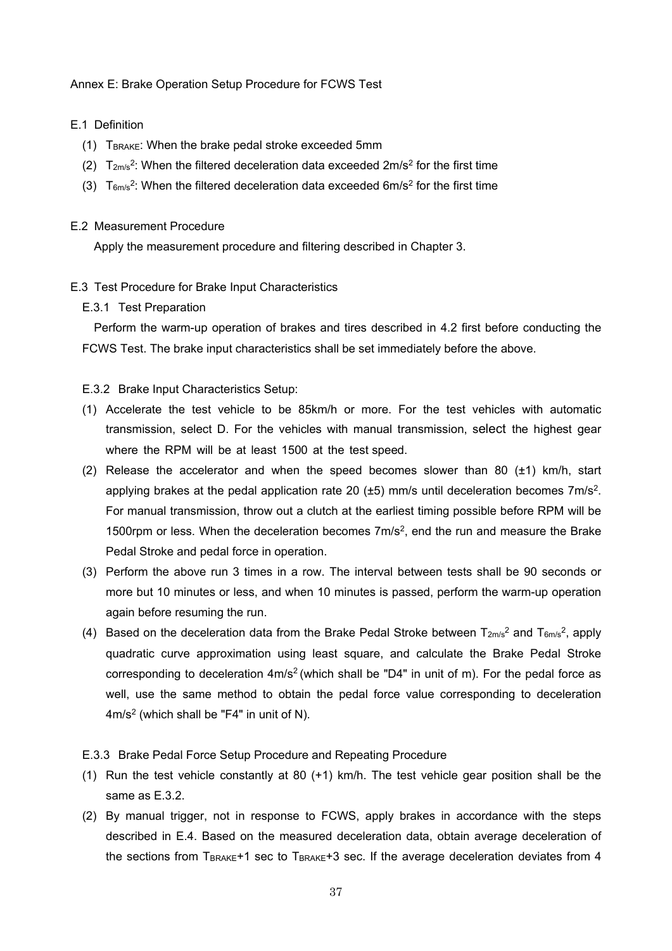### Annex E: Brake Operation Setup Procedure for FCWS Test

## E.1 Definition

- (1)  $T_{\text{BRAKE}}$ : When the brake pedal stroke exceeded 5mm
- (2)  $T_{2\text{m/s}}^2$ : When the filtered deceleration data exceeded  $2\text{m/s}^2$  for the first time
- (3)  $T_{6m/s}^2$ : When the filtered deceleration data exceeded 6m/s<sup>2</sup> for the first time

#### E.2 Measurement Procedure

Apply the measurement procedure and filtering described in Chapter 3.

### E.3 Test Procedure for Brake Input Characteristics

E.3.1 Test Preparation

Perform the warm-up operation of brakes and tires described in 4.2 first before conducting the FCWS Test. The brake input characteristics shall be set immediately before the above.

### E.3.2 Brake Input Characteristics Setup:

- (1) Accelerate the test vehicle to be 85km/h or more. For the test vehicles with automatic transmission, select D. For the vehicles with manual transmission, select the highest gear where the RPM will be at least 1500 at the test speed.
- (2) Release the accelerator and when the speed becomes slower than 80  $(\pm 1)$  km/h, start applying brakes at the pedal application rate 20 ( $\pm$ 5) mm/s until deceleration becomes 7m/s<sup>2</sup>. For manual transmission, throw out a clutch at the earliest timing possible before RPM will be 1500rpm or less. When the deceleration becomes  $7m/s<sup>2</sup>$ , end the run and measure the Brake Pedal Stroke and pedal force in operation.
- (3) Perform the above run 3 times in a row. The interval between tests shall be 90 seconds or more but 10 minutes or less, and when 10 minutes is passed, perform the warm-up operation again before resuming the run.
- (4) Based on the deceleration data from the Brake Pedal Stroke between  $T_{2m/s}^2$  and  $T_{6m/s}^2$ , apply quadratic curve approximation using least square, and calculate the Brake Pedal Stroke corresponding to deceleration 4m/s<sup>2</sup> (which shall be "D4" in unit of m). For the pedal force as well, use the same method to obtain the pedal force value corresponding to deceleration 4m/s2 (which shall be "F4" in unit of N).

#### E.3.3 Brake Pedal Force Setup Procedure and Repeating Procedure

- (1) Run the test vehicle constantly at 80 (+1) km/h. The test vehicle gear position shall be the same as E.3.2.
- (2) By manual trigger, not in response to FCWS, apply brakes in accordance with the steps described in E.4. Based on the measured deceleration data, obtain average deceleration of the sections from  $T_{\text{BRAKE}}+1$  sec to  $T_{\text{BRAKE}}+3$  sec. If the average deceleration deviates from 4